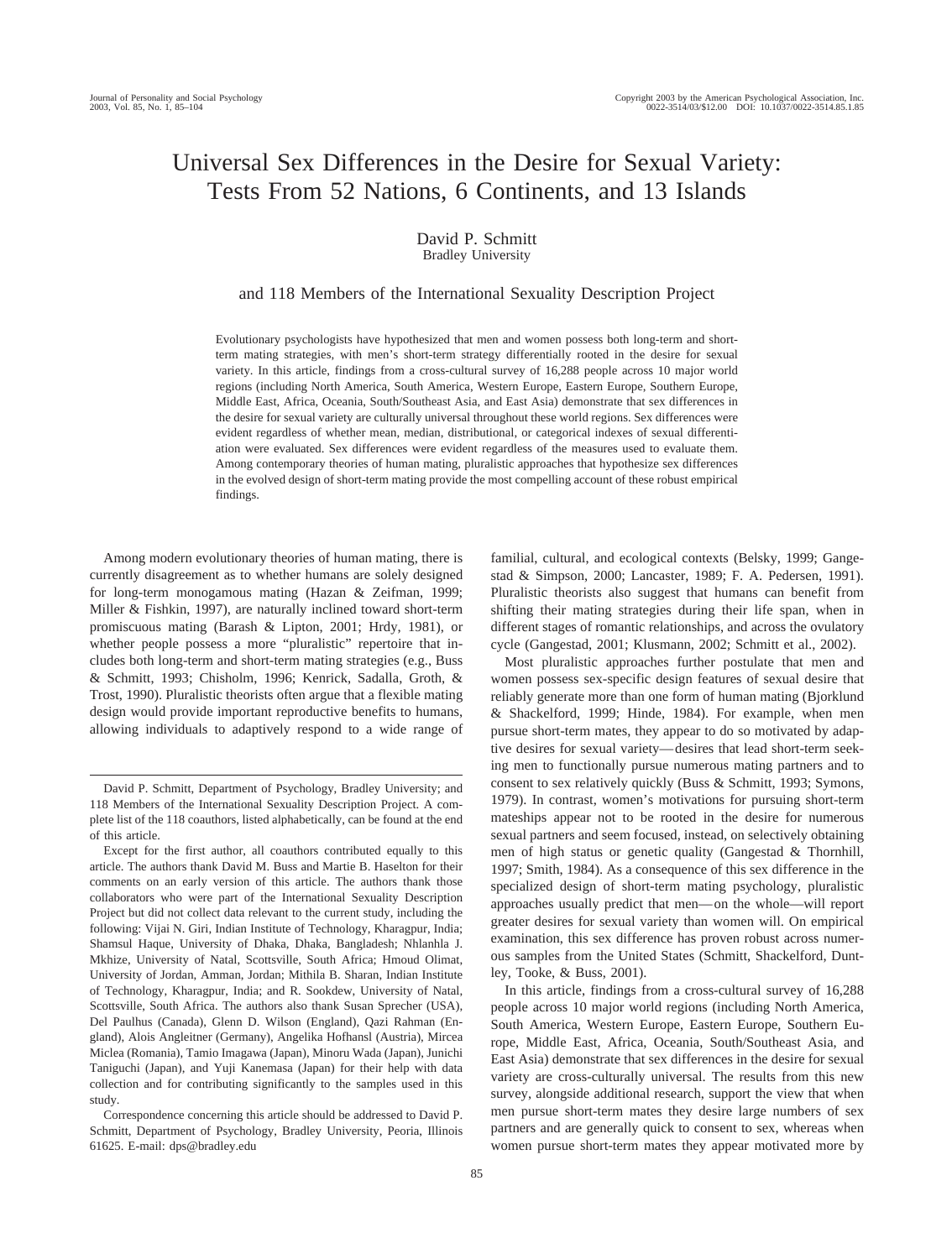# Universal Sex Differences in the Desire for Sexual Variety: Tests From 52 Nations, 6 Continents, and 13 Islands

#### David P. Schmitt Bradley University

# and 118 Members of the International Sexuality Description Project

Evolutionary psychologists have hypothesized that men and women possess both long-term and shortterm mating strategies, with men's short-term strategy differentially rooted in the desire for sexual variety. In this article, findings from a cross-cultural survey of 16,288 people across 10 major world regions (including North America, South America, Western Europe, Eastern Europe, Southern Europe, Middle East, Africa, Oceania, South/Southeast Asia, and East Asia) demonstrate that sex differences in the desire for sexual variety are culturally universal throughout these world regions. Sex differences were evident regardless of whether mean, median, distributional, or categorical indexes of sexual differentiation were evaluated. Sex differences were evident regardless of the measures used to evaluate them. Among contemporary theories of human mating, pluralistic approaches that hypothesize sex differences in the evolved design of short-term mating provide the most compelling account of these robust empirical findings.

Among modern evolutionary theories of human mating, there is currently disagreement as to whether humans are solely designed for long-term monogamous mating (Hazan & Zeifman, 1999; Miller & Fishkin, 1997), are naturally inclined toward short-term promiscuous mating (Barash & Lipton, 2001; Hrdy, 1981), or whether people possess a more "pluralistic" repertoire that includes both long-term and short-term mating strategies (e.g., Buss & Schmitt, 1993; Chisholm, 1996; Kenrick, Sadalla, Groth, & Trost, 1990). Pluralistic theorists often argue that a flexible mating design would provide important reproductive benefits to humans, allowing individuals to adaptively respond to a wide range of familial, cultural, and ecological contexts (Belsky, 1999; Gangestad & Simpson, 2000; Lancaster, 1989; F. A. Pedersen, 1991). Pluralistic theorists also suggest that humans can benefit from shifting their mating strategies during their life span, when in different stages of romantic relationships, and across the ovulatory cycle (Gangestad, 2001; Klusmann, 2002; Schmitt et al., 2002).

Most pluralistic approaches further postulate that men and women possess sex-specific design features of sexual desire that reliably generate more than one form of human mating (Bjorklund & Shackelford, 1999; Hinde, 1984). For example, when men pursue short-term mates, they appear to do so motivated by adaptive desires for sexual variety—desires that lead short-term seeking men to functionally pursue numerous mating partners and to consent to sex relatively quickly (Buss & Schmitt, 1993; Symons, 1979). In contrast, women's motivations for pursuing short-term mateships appear not to be rooted in the desire for numerous sexual partners and seem focused, instead, on selectively obtaining men of high status or genetic quality (Gangestad & Thornhill, 1997; Smith, 1984). As a consequence of this sex difference in the specialized design of short-term mating psychology, pluralistic approaches usually predict that men—on the whole—will report greater desires for sexual variety than women will. On empirical examination, this sex difference has proven robust across numerous samples from the United States (Schmitt, Shackelford, Duntley, Tooke, & Buss, 2001).

In this article, findings from a cross-cultural survey of 16,288 people across 10 major world regions (including North America, South America, Western Europe, Eastern Europe, Southern Europe, Middle East, Africa, Oceania, South/Southeast Asia, and East Asia) demonstrate that sex differences in the desire for sexual variety are cross-culturally universal. The results from this new survey, alongside additional research, support the view that when men pursue short-term mates they desire large numbers of sex partners and are generally quick to consent to sex, whereas when women pursue short-term mates they appear motivated more by

David P. Schmitt, Department of Psychology, Bradley University; and 118 Members of the International Sexuality Description Project. A complete list of the 118 coauthors, listed alphabetically, can be found at the end of this article.

Except for the first author, all coauthors contributed equally to this article. The authors thank David M. Buss and Martie B. Haselton for their comments on an early version of this article. The authors thank those collaborators who were part of the International Sexuality Description Project but did not collect data relevant to the current study, including the following: Vijai N. Giri, Indian Institute of Technology, Kharagpur, India; Shamsul Haque, University of Dhaka, Dhaka, Bangladesh; Nhlanhla J. Mkhize, University of Natal, Scottsville, South Africa; Hmoud Olimat, University of Jordan, Amman, Jordan; Mithila B. Sharan, Indian Institute of Technology, Kharagpur, India; and R. Sookdew, University of Natal, Scottsville, South Africa. The authors also thank Susan Sprecher (USA), Del Paulhus (Canada), Glenn D. Wilson (England), Qazi Rahman (England), Alois Angleitner (Germany), Angelika Hofhansl (Austria), Mircea Miclea (Romania), Tamio Imagawa (Japan), Minoru Wada (Japan), Junichi Taniguchi (Japan), and Yuji Kanemasa (Japan) for their help with data collection and for contributing significantly to the samples used in this study.

Correspondence concerning this article should be addressed to David P. Schmitt, Department of Psychology, Bradley University, Peoria, Illinois 61625. E-mail: dps@bradley.edu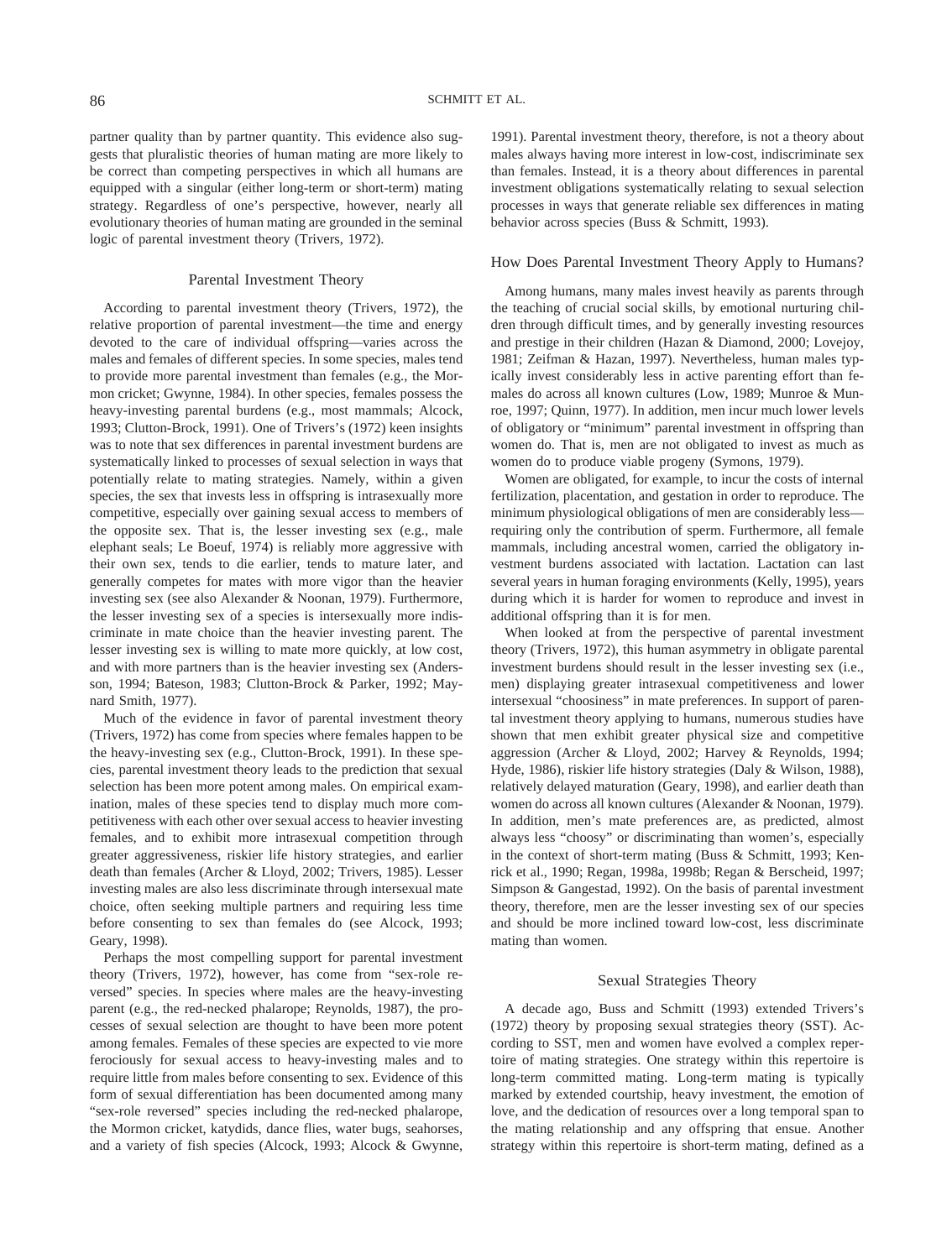partner quality than by partner quantity. This evidence also suggests that pluralistic theories of human mating are more likely to be correct than competing perspectives in which all humans are equipped with a singular (either long-term or short-term) mating strategy. Regardless of one's perspective, however, nearly all evolutionary theories of human mating are grounded in the seminal logic of parental investment theory (Trivers, 1972).

#### Parental Investment Theory

According to parental investment theory (Trivers, 1972), the relative proportion of parental investment—the time and energy devoted to the care of individual offspring—varies across the males and females of different species. In some species, males tend to provide more parental investment than females (e.g., the Mormon cricket; Gwynne, 1984). In other species, females possess the heavy-investing parental burdens (e.g., most mammals; Alcock, 1993; Clutton-Brock, 1991). One of Trivers's (1972) keen insights was to note that sex differences in parental investment burdens are systematically linked to processes of sexual selection in ways that potentially relate to mating strategies. Namely, within a given species, the sex that invests less in offspring is intrasexually more competitive, especially over gaining sexual access to members of the opposite sex. That is, the lesser investing sex (e.g., male elephant seals; Le Boeuf, 1974) is reliably more aggressive with their own sex, tends to die earlier, tends to mature later, and generally competes for mates with more vigor than the heavier investing sex (see also Alexander & Noonan, 1979). Furthermore, the lesser investing sex of a species is intersexually more indiscriminate in mate choice than the heavier investing parent. The lesser investing sex is willing to mate more quickly, at low cost, and with more partners than is the heavier investing sex (Andersson, 1994; Bateson, 1983; Clutton-Brock & Parker, 1992; Maynard Smith, 1977).

Much of the evidence in favor of parental investment theory (Trivers, 1972) has come from species where females happen to be the heavy-investing sex (e.g., Clutton-Brock, 1991). In these species, parental investment theory leads to the prediction that sexual selection has been more potent among males. On empirical examination, males of these species tend to display much more competitiveness with each other over sexual access to heavier investing females, and to exhibit more intrasexual competition through greater aggressiveness, riskier life history strategies, and earlier death than females (Archer & Lloyd, 2002; Trivers, 1985). Lesser investing males are also less discriminate through intersexual mate choice, often seeking multiple partners and requiring less time before consenting to sex than females do (see Alcock, 1993; Geary, 1998).

Perhaps the most compelling support for parental investment theory (Trivers, 1972), however, has come from "sex-role reversed" species. In species where males are the heavy-investing parent (e.g., the red-necked phalarope; Reynolds, 1987), the processes of sexual selection are thought to have been more potent among females. Females of these species are expected to vie more ferociously for sexual access to heavy-investing males and to require little from males before consenting to sex. Evidence of this form of sexual differentiation has been documented among many "sex-role reversed" species including the red-necked phalarope, the Mormon cricket, katydids, dance flies, water bugs, seahorses, and a variety of fish species (Alcock, 1993; Alcock & Gwynne,

1991). Parental investment theory, therefore, is not a theory about males always having more interest in low-cost, indiscriminate sex than females. Instead, it is a theory about differences in parental investment obligations systematically relating to sexual selection processes in ways that generate reliable sex differences in mating behavior across species (Buss & Schmitt, 1993).

#### How Does Parental Investment Theory Apply to Humans?

Among humans, many males invest heavily as parents through the teaching of crucial social skills, by emotional nurturing children through difficult times, and by generally investing resources and prestige in their children (Hazan & Diamond, 2000; Lovejoy, 1981; Zeifman & Hazan, 1997). Nevertheless, human males typically invest considerably less in active parenting effort than females do across all known cultures (Low, 1989; Munroe & Munroe, 1997; Quinn, 1977). In addition, men incur much lower levels of obligatory or "minimum" parental investment in offspring than women do. That is, men are not obligated to invest as much as women do to produce viable progeny (Symons, 1979).

Women are obligated, for example, to incur the costs of internal fertilization, placentation, and gestation in order to reproduce. The minimum physiological obligations of men are considerably less requiring only the contribution of sperm. Furthermore, all female mammals, including ancestral women, carried the obligatory investment burdens associated with lactation. Lactation can last several years in human foraging environments (Kelly, 1995), years during which it is harder for women to reproduce and invest in additional offspring than it is for men.

When looked at from the perspective of parental investment theory (Trivers, 1972), this human asymmetry in obligate parental investment burdens should result in the lesser investing sex (i.e., men) displaying greater intrasexual competitiveness and lower intersexual "choosiness" in mate preferences. In support of parental investment theory applying to humans, numerous studies have shown that men exhibit greater physical size and competitive aggression (Archer & Lloyd, 2002; Harvey & Reynolds, 1994; Hyde, 1986), riskier life history strategies (Daly & Wilson, 1988), relatively delayed maturation (Geary, 1998), and earlier death than women do across all known cultures (Alexander & Noonan, 1979). In addition, men's mate preferences are, as predicted, almost always less "choosy" or discriminating than women's, especially in the context of short-term mating (Buss & Schmitt, 1993; Kenrick et al., 1990; Regan, 1998a, 1998b; Regan & Berscheid, 1997; Simpson & Gangestad, 1992). On the basis of parental investment theory, therefore, men are the lesser investing sex of our species and should be more inclined toward low-cost, less discriminate mating than women.

## Sexual Strategies Theory

A decade ago, Buss and Schmitt (1993) extended Trivers's (1972) theory by proposing sexual strategies theory (SST). According to SST, men and women have evolved a complex repertoire of mating strategies. One strategy within this repertoire is long-term committed mating. Long-term mating is typically marked by extended courtship, heavy investment, the emotion of love, and the dedication of resources over a long temporal span to the mating relationship and any offspring that ensue. Another strategy within this repertoire is short-term mating, defined as a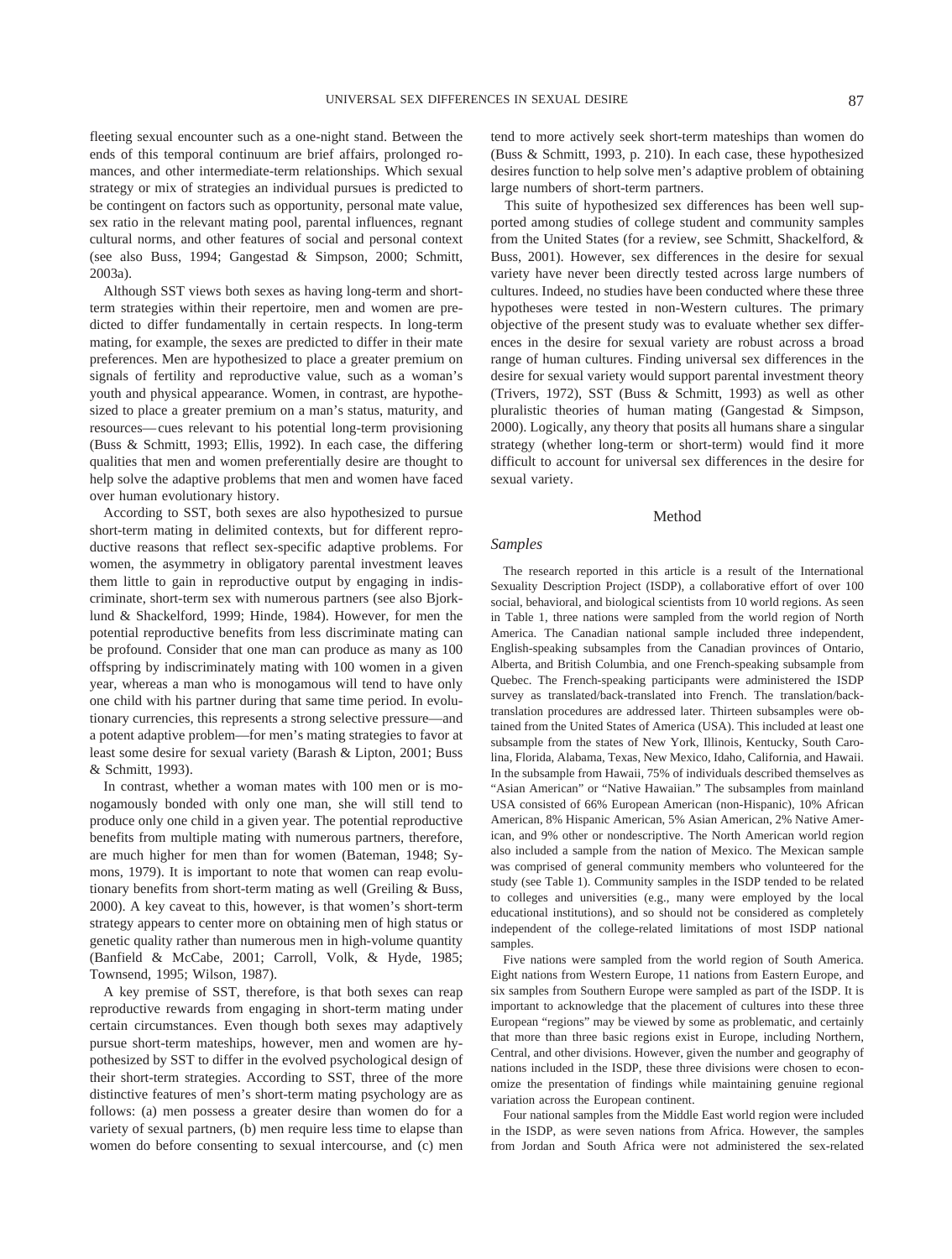fleeting sexual encounter such as a one-night stand. Between the ends of this temporal continuum are brief affairs, prolonged romances, and other intermediate-term relationships. Which sexual strategy or mix of strategies an individual pursues is predicted to be contingent on factors such as opportunity, personal mate value, sex ratio in the relevant mating pool, parental influences, regnant cultural norms, and other features of social and personal context (see also Buss, 1994; Gangestad & Simpson, 2000; Schmitt, 2003a).

Although SST views both sexes as having long-term and shortterm strategies within their repertoire, men and women are predicted to differ fundamentally in certain respects. In long-term mating, for example, the sexes are predicted to differ in their mate preferences. Men are hypothesized to place a greater premium on signals of fertility and reproductive value, such as a woman's youth and physical appearance. Women, in contrast, are hypothesized to place a greater premium on a man's status, maturity, and resources—cues relevant to his potential long-term provisioning (Buss & Schmitt, 1993; Ellis, 1992). In each case, the differing qualities that men and women preferentially desire are thought to help solve the adaptive problems that men and women have faced over human evolutionary history.

According to SST, both sexes are also hypothesized to pursue short-term mating in delimited contexts, but for different reproductive reasons that reflect sex-specific adaptive problems. For women, the asymmetry in obligatory parental investment leaves them little to gain in reproductive output by engaging in indiscriminate, short-term sex with numerous partners (see also Bjorklund & Shackelford, 1999; Hinde, 1984). However, for men the potential reproductive benefits from less discriminate mating can be profound. Consider that one man can produce as many as 100 offspring by indiscriminately mating with 100 women in a given year, whereas a man who is monogamous will tend to have only one child with his partner during that same time period. In evolutionary currencies, this represents a strong selective pressure—and a potent adaptive problem—for men's mating strategies to favor at least some desire for sexual variety (Barash & Lipton, 2001; Buss & Schmitt, 1993).

In contrast, whether a woman mates with 100 men or is monogamously bonded with only one man, she will still tend to produce only one child in a given year. The potential reproductive benefits from multiple mating with numerous partners, therefore, are much higher for men than for women (Bateman, 1948; Symons, 1979). It is important to note that women can reap evolutionary benefits from short-term mating as well (Greiling & Buss, 2000). A key caveat to this, however, is that women's short-term strategy appears to center more on obtaining men of high status or genetic quality rather than numerous men in high-volume quantity (Banfield & McCabe, 2001; Carroll, Volk, & Hyde, 1985; Townsend, 1995; Wilson, 1987).

A key premise of SST, therefore, is that both sexes can reap reproductive rewards from engaging in short-term mating under certain circumstances. Even though both sexes may adaptively pursue short-term mateships, however, men and women are hypothesized by SST to differ in the evolved psychological design of their short-term strategies. According to SST, three of the more distinctive features of men's short-term mating psychology are as follows: (a) men possess a greater desire than women do for a variety of sexual partners, (b) men require less time to elapse than women do before consenting to sexual intercourse, and (c) men tend to more actively seek short-term mateships than women do (Buss & Schmitt, 1993, p. 210). In each case, these hypothesized desires function to help solve men's adaptive problem of obtaining large numbers of short-term partners.

This suite of hypothesized sex differences has been well supported among studies of college student and community samples from the United States (for a review, see Schmitt, Shackelford, & Buss, 2001). However, sex differences in the desire for sexual variety have never been directly tested across large numbers of cultures. Indeed, no studies have been conducted where these three hypotheses were tested in non-Western cultures. The primary objective of the present study was to evaluate whether sex differences in the desire for sexual variety are robust across a broad range of human cultures. Finding universal sex differences in the desire for sexual variety would support parental investment theory (Trivers, 1972), SST (Buss & Schmitt, 1993) as well as other pluralistic theories of human mating (Gangestad & Simpson, 2000). Logically, any theory that posits all humans share a singular strategy (whether long-term or short-term) would find it more difficult to account for universal sex differences in the desire for sexual variety.

#### Method

#### *Samples*

The research reported in this article is a result of the International Sexuality Description Project (ISDP), a collaborative effort of over 100 social, behavioral, and biological scientists from 10 world regions. As seen in Table 1, three nations were sampled from the world region of North America. The Canadian national sample included three independent, English-speaking subsamples from the Canadian provinces of Ontario, Alberta, and British Columbia, and one French-speaking subsample from Quebec. The French-speaking participants were administered the ISDP survey as translated/back-translated into French. The translation/backtranslation procedures are addressed later. Thirteen subsamples were obtained from the United States of America (USA). This included at least one subsample from the states of New York, Illinois, Kentucky, South Carolina, Florida, Alabama, Texas, New Mexico, Idaho, California, and Hawaii. In the subsample from Hawaii, 75% of individuals described themselves as "Asian American" or "Native Hawaiian." The subsamples from mainland USA consisted of 66% European American (non-Hispanic), 10% African American, 8% Hispanic American, 5% Asian American, 2% Native American, and 9% other or nondescriptive. The North American world region also included a sample from the nation of Mexico. The Mexican sample was comprised of general community members who volunteered for the study (see Table 1). Community samples in the ISDP tended to be related to colleges and universities (e.g., many were employed by the local educational institutions), and so should not be considered as completely independent of the college-related limitations of most ISDP national samples.

Five nations were sampled from the world region of South America. Eight nations from Western Europe, 11 nations from Eastern Europe, and six samples from Southern Europe were sampled as part of the ISDP. It is important to acknowledge that the placement of cultures into these three European "regions" may be viewed by some as problematic, and certainly that more than three basic regions exist in Europe, including Northern, Central, and other divisions. However, given the number and geography of nations included in the ISDP, these three divisions were chosen to economize the presentation of findings while maintaining genuine regional variation across the European continent.

Four national samples from the Middle East world region were included in the ISDP, as were seven nations from Africa. However, the samples from Jordan and South Africa were not administered the sex-related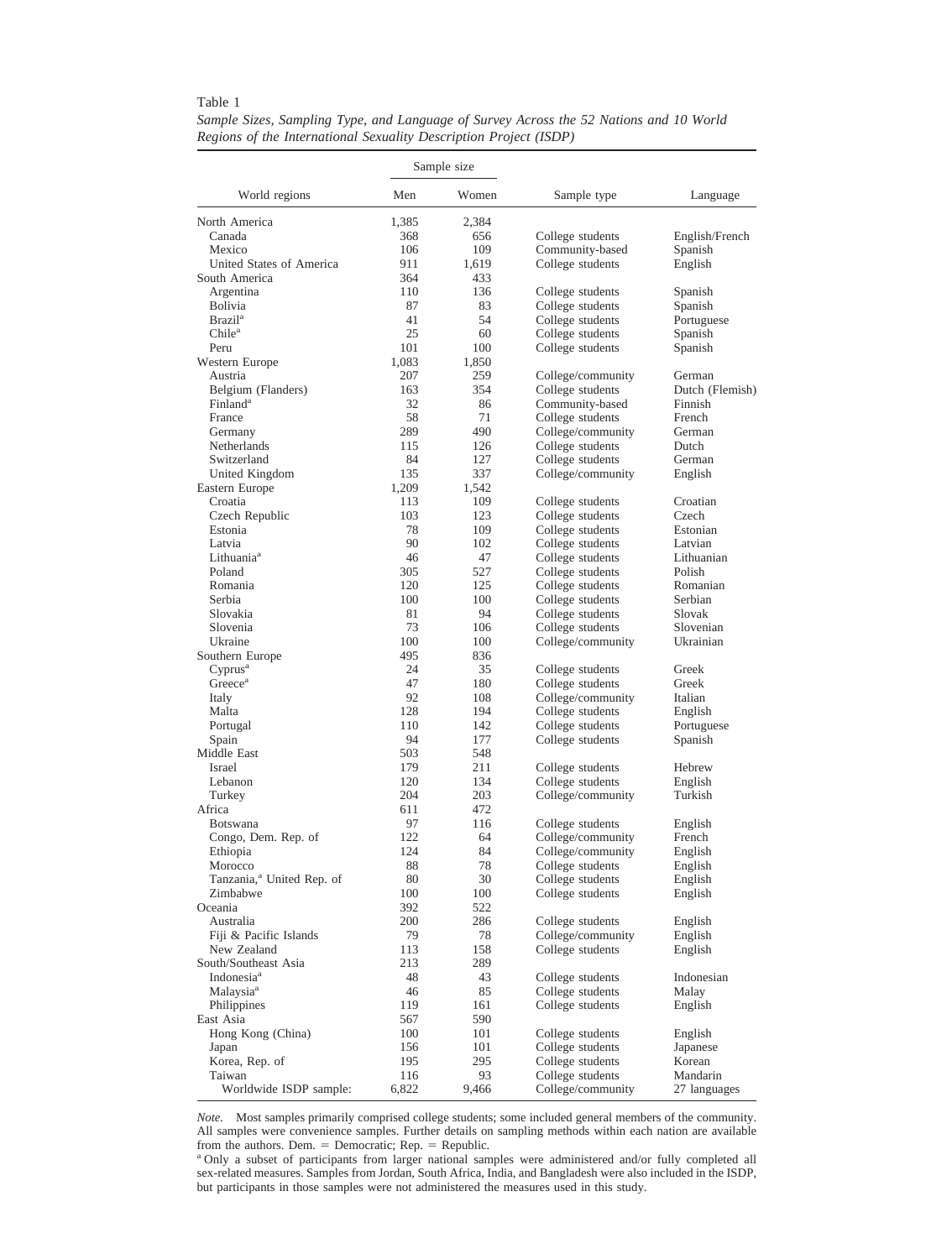# Table 1

| Sample Sizes, Sampling Type, and Language of Survey Across the 52 Nations and 10 World |  |
|----------------------------------------------------------------------------------------|--|
| Regions of the International Sexuality Description Project (ISDP)                      |  |

|                                       |              | Sample size  |                                       |                           |
|---------------------------------------|--------------|--------------|---------------------------------------|---------------------------|
| World regions                         | Men          | Women        | Sample type                           | Language                  |
| North America                         | 1,385        | 2,384        |                                       |                           |
| Canada                                | 368          | 656          | College students                      | English/French            |
| Mexico                                | 106          | 109          | Community-based                       | Spanish                   |
| United States of America              | 911          | 1,619        | College students                      | English                   |
| South America                         | 364          | 433          |                                       |                           |
| Argentina                             | 110          | 136          | College students                      | Spanish                   |
| Bolivia                               | 87           | 83           | College students                      | Spanish                   |
| <b>Brazil</b> <sup>a</sup>            | 41           | 54           | College students                      | Portuguese                |
| Chile <sup>a</sup>                    | 25           | 60           | College students                      | Spanish                   |
| Peru                                  | 101          | 100          | College students                      | Spanish                   |
| Western Europe<br>Austria             | 1,083<br>207 | 1,850<br>259 |                                       |                           |
| Belgium (Flanders)                    | 163          | 354          | College/community<br>College students | German<br>Dutch (Flemish) |
| Finland <sup>a</sup>                  | 32           | 86           | Community-based                       | Finnish                   |
| France                                | 58           | 71           | College students                      | French                    |
| Germany                               | 289          | 490          | College/community                     | German                    |
| Netherlands                           | 115          | 126          | College students                      | Dutch                     |
| Switzerland                           | 84           | 127          | College students                      | German                    |
| United Kingdom                        | 135          | 337          | College/community                     | English                   |
| Eastern Europe                        | 1,209        | 1,542        |                                       |                           |
| Croatia                               | 113          | 109          | College students                      | Croatian                  |
| Czech Republic                        | 103          | 123          | College students                      | Czech                     |
| Estonia                               | 78           | 109          | College students                      | Estonian                  |
| Latvia                                | 90           | 102          | College students                      | Latvian                   |
| Lithuania <sup>a</sup>                | 46           | 47           | College students                      | Lithuanian                |
| Poland                                | 305          | 527          | College students                      | Polish                    |
| Romania                               | 120          | 125          | College students                      | Romanian                  |
| Serbia                                | 100          | 100          | College students                      | Serbian                   |
| Slovakia                              | 81           | 94           | College students                      | Slovak                    |
| Slovenia                              | 73           | 106          | College students                      | Slovenian                 |
| Ukraine                               | 100          | 100          | College/community                     | Ukrainian                 |
| Southern Europe                       | 495          | 836          |                                       |                           |
| Cyprus <sup>a</sup>                   | 24           | 35           | College students                      | Greek                     |
| Greece <sup>a</sup>                   | 47           | 180          | College students                      | Greek                     |
| Italy                                 | 92           | 108          | College/community                     | Italian                   |
| Malta                                 | 128<br>110   | 194<br>142   | College students                      | English                   |
| Portugal<br>Spain                     | 94           | 177          | College students<br>College students  | Portuguese<br>Spanish     |
| Middle East                           | 503          | 548          |                                       |                           |
| Israel                                | 179          | 211          | College students                      | Hebrew                    |
| Lebanon                               | 120          | 134          | College students                      | English                   |
| Turkey                                | 204          | 203          | College/community                     | Turkish                   |
| Africa                                | 611          | 472          |                                       |                           |
| Botswana                              | 97           | 116          | College students                      | English                   |
| Congo, Dem. Rep. of                   | 122          | 64           | College/community                     | French                    |
| Ethiopia                              | 124          | 84           | College/community                     | English                   |
| Morocco                               | 88           | 78           | College students                      | English                   |
| Tanzania, <sup>a</sup> United Rep. of | 80           | 30           | College students                      | English                   |
| Zimbabwe                              | 100          | 100          | College students                      | English                   |
| Oceania                               | 392          | 522          |                                       |                           |
| Australia                             | 200          | 286          | College students                      | English                   |
| Fiji & Pacific Islands                | 79           | 78           | College/community                     | English                   |
| New Zealand                           | 113          | 158          | College students                      | English                   |
| South/Southeast Asia                  | 213          | 289          |                                       |                           |
| Indonesia <sup>a</sup>                | 48           | 43           | College students                      | Indonesian                |
| Malaysia <sup>a</sup>                 | 46           | 85           | College students                      | Malay                     |
| Philippines                           | 119          | 161          | College students                      | English                   |
| East Asia                             | 567<br>100   | 590<br>101   |                                       | English                   |
| Hong Kong (China)<br>Japan            | 156          | 101          | College students<br>College students  | Japanese                  |
| Korea, Rep. of                        | 195          | 295          | College students                      | Korean                    |
| Taiwan                                | 116          | 93           | College students                      | Mandarin                  |
| Worldwide ISDP sample:                | 6,822        | 9,466        | College/community                     | 27 languages              |
|                                       |              |              |                                       |                           |

*Note.* Most samples primarily comprised college students; some included general members of the community. All samples were convenience samples. Further details on sampling methods within each nation are available from the authors. Dem.  $=$  Democratic; Rep.  $=$  Republic.

from the authors. Dem. = Democratic; Rep. = Republic.<br>a Only a subset of participants from larger national samples were administered and/or fully completed all sex-related measures. Samples from Jordan, South Africa, India, and Bangladesh were also included in the ISDP, but participants in those samples were not administered the measures used in this study.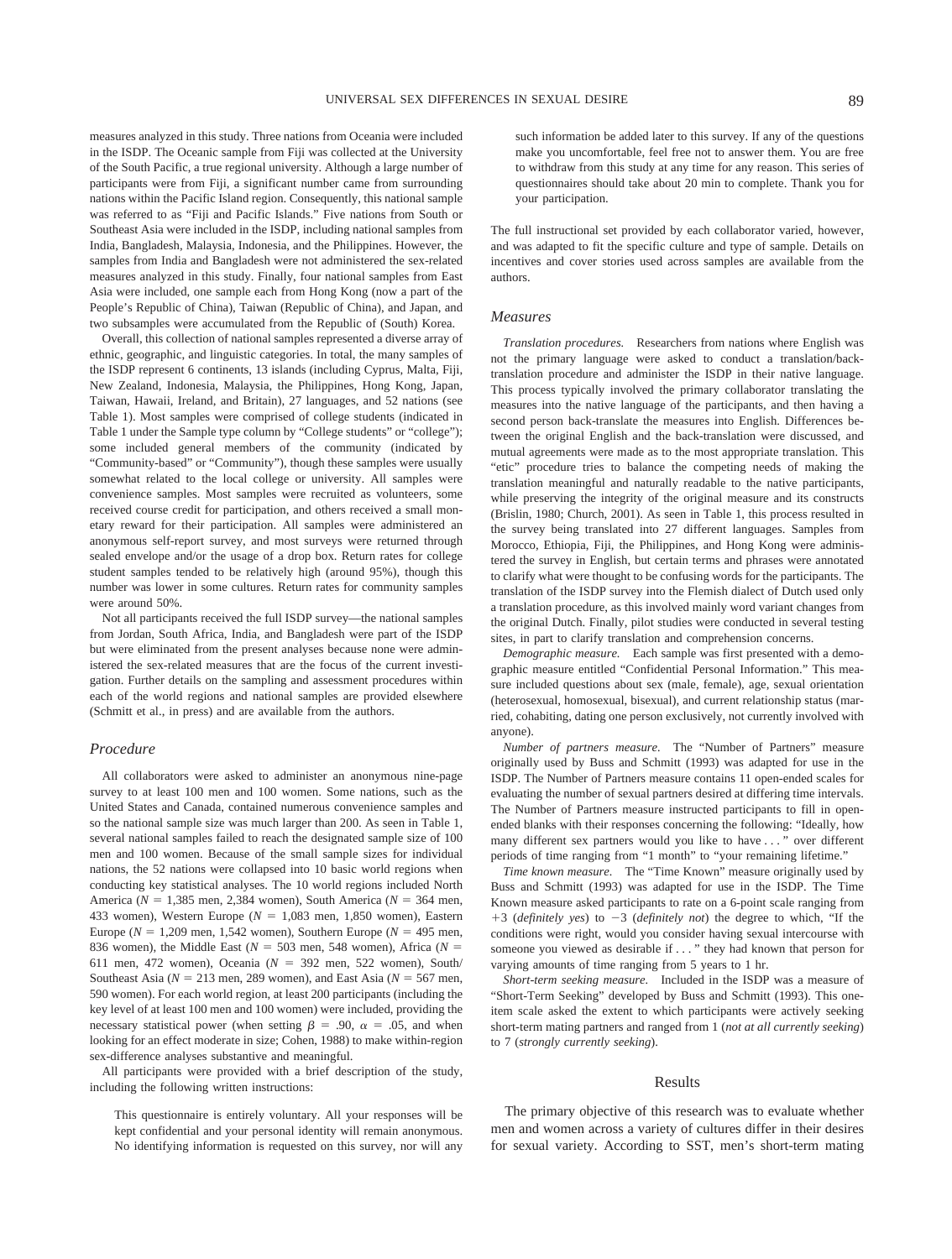measures analyzed in this study. Three nations from Oceania were included in the ISDP. The Oceanic sample from Fiji was collected at the University of the South Pacific, a true regional university. Although a large number of participants were from Fiji, a significant number came from surrounding nations within the Pacific Island region. Consequently, this national sample was referred to as "Fiji and Pacific Islands." Five nations from South or Southeast Asia were included in the ISDP, including national samples from India, Bangladesh, Malaysia, Indonesia, and the Philippines. However, the samples from India and Bangladesh were not administered the sex-related measures analyzed in this study. Finally, four national samples from East Asia were included, one sample each from Hong Kong (now a part of the People's Republic of China), Taiwan (Republic of China), and Japan, and two subsamples were accumulated from the Republic of (South) Korea.

Overall, this collection of national samples represented a diverse array of ethnic, geographic, and linguistic categories. In total, the many samples of the ISDP represent 6 continents, 13 islands (including Cyprus, Malta, Fiji, New Zealand, Indonesia, Malaysia, the Philippines, Hong Kong, Japan, Taiwan, Hawaii, Ireland, and Britain), 27 languages, and 52 nations (see Table 1). Most samples were comprised of college students (indicated in Table 1 under the Sample type column by "College students" or "college"); some included general members of the community (indicated by "Community-based" or "Community"), though these samples were usually somewhat related to the local college or university. All samples were convenience samples. Most samples were recruited as volunteers, some received course credit for participation, and others received a small monetary reward for their participation. All samples were administered an anonymous self-report survey, and most surveys were returned through sealed envelope and/or the usage of a drop box. Return rates for college student samples tended to be relatively high (around 95%), though this number was lower in some cultures. Return rates for community samples were around 50%.

Not all participants received the full ISDP survey—the national samples from Jordan, South Africa, India, and Bangladesh were part of the ISDP but were eliminated from the present analyses because none were administered the sex-related measures that are the focus of the current investigation. Further details on the sampling and assessment procedures within each of the world regions and national samples are provided elsewhere (Schmitt et al., in press) and are available from the authors.

## *Procedure*

All collaborators were asked to administer an anonymous nine-page survey to at least 100 men and 100 women. Some nations, such as the United States and Canada, contained numerous convenience samples and so the national sample size was much larger than 200. As seen in Table 1, several national samples failed to reach the designated sample size of 100 men and 100 women. Because of the small sample sizes for individual nations, the 52 nations were collapsed into 10 basic world regions when conducting key statistical analyses. The 10 world regions included North America ( $N = 1,385$  men, 2,384 women), South America ( $N = 364$  men, 433 women), Western Europe ( $N = 1,083$  men, 1,850 women), Eastern Europe ( $N = 1,209$  men, 1,542 women), Southern Europe ( $N = 495$  men, 836 women), the Middle East ( $N = 503$  men, 548 women), Africa ( $N =$ 611 men, 472 women), Oceania ( $N = 392$  men, 522 women), South/ Southeast Asia ( $N = 213$  men, 289 women), and East Asia ( $N = 567$  men, 590 women). For each world region, at least 200 participants (including the key level of at least 100 men and 100 women) were included, providing the necessary statistical power (when setting  $\beta = .90$ ,  $\alpha = .05$ , and when looking for an effect moderate in size; Cohen, 1988) to make within-region sex-difference analyses substantive and meaningful.

All participants were provided with a brief description of the study, including the following written instructions:

This questionnaire is entirely voluntary. All your responses will be kept confidential and your personal identity will remain anonymous. No identifying information is requested on this survey, nor will any

such information be added later to this survey. If any of the questions make you uncomfortable, feel free not to answer them. You are free to withdraw from this study at any time for any reason. This series of questionnaires should take about 20 min to complete. Thank you for your participation.

The full instructional set provided by each collaborator varied, however, and was adapted to fit the specific culture and type of sample. Details on incentives and cover stories used across samples are available from the authors.

#### *Measures*

*Translation procedures.* Researchers from nations where English was not the primary language were asked to conduct a translation/backtranslation procedure and administer the ISDP in their native language. This process typically involved the primary collaborator translating the measures into the native language of the participants, and then having a second person back-translate the measures into English. Differences between the original English and the back-translation were discussed, and mutual agreements were made as to the most appropriate translation. This "etic" procedure tries to balance the competing needs of making the translation meaningful and naturally readable to the native participants, while preserving the integrity of the original measure and its constructs (Brislin, 1980; Church, 2001). As seen in Table 1, this process resulted in the survey being translated into 27 different languages. Samples from Morocco, Ethiopia, Fiji, the Philippines, and Hong Kong were administered the survey in English, but certain terms and phrases were annotated to clarify what were thought to be confusing words for the participants. The translation of the ISDP survey into the Flemish dialect of Dutch used only a translation procedure, as this involved mainly word variant changes from the original Dutch. Finally, pilot studies were conducted in several testing sites, in part to clarify translation and comprehension concerns.

*Demographic measure.* Each sample was first presented with a demographic measure entitled "Confidential Personal Information." This measure included questions about sex (male, female), age, sexual orientation (heterosexual, homosexual, bisexual), and current relationship status (married, cohabiting, dating one person exclusively, not currently involved with anyone).

*Number of partners measure.* The "Number of Partners" measure originally used by Buss and Schmitt (1993) was adapted for use in the ISDP. The Number of Partners measure contains 11 open-ended scales for evaluating the number of sexual partners desired at differing time intervals. The Number of Partners measure instructed participants to fill in openended blanks with their responses concerning the following: "Ideally, how many different sex partners would you like to have... " over different periods of time ranging from "1 month" to "your remaining lifetime."

*Time known measure.* The "Time Known" measure originally used by Buss and Schmitt (1993) was adapted for use in the ISDP. The Time Known measure asked participants to rate on a 6-point scale ranging from  $+3$  (*definitely yes*) to  $-3$  (*definitely not*) the degree to which, "If the conditions were right, would you consider having sexual intercourse with someone you viewed as desirable if... " they had known that person for varying amounts of time ranging from 5 years to 1 hr.

*Short-term seeking measure.* Included in the ISDP was a measure of "Short-Term Seeking" developed by Buss and Schmitt (1993). This oneitem scale asked the extent to which participants were actively seeking short-term mating partners and ranged from 1 (*not at all currently seeking*) to 7 (*strongly currently seeking*).

#### Results

The primary objective of this research was to evaluate whether men and women across a variety of cultures differ in their desires for sexual variety. According to SST, men's short-term mating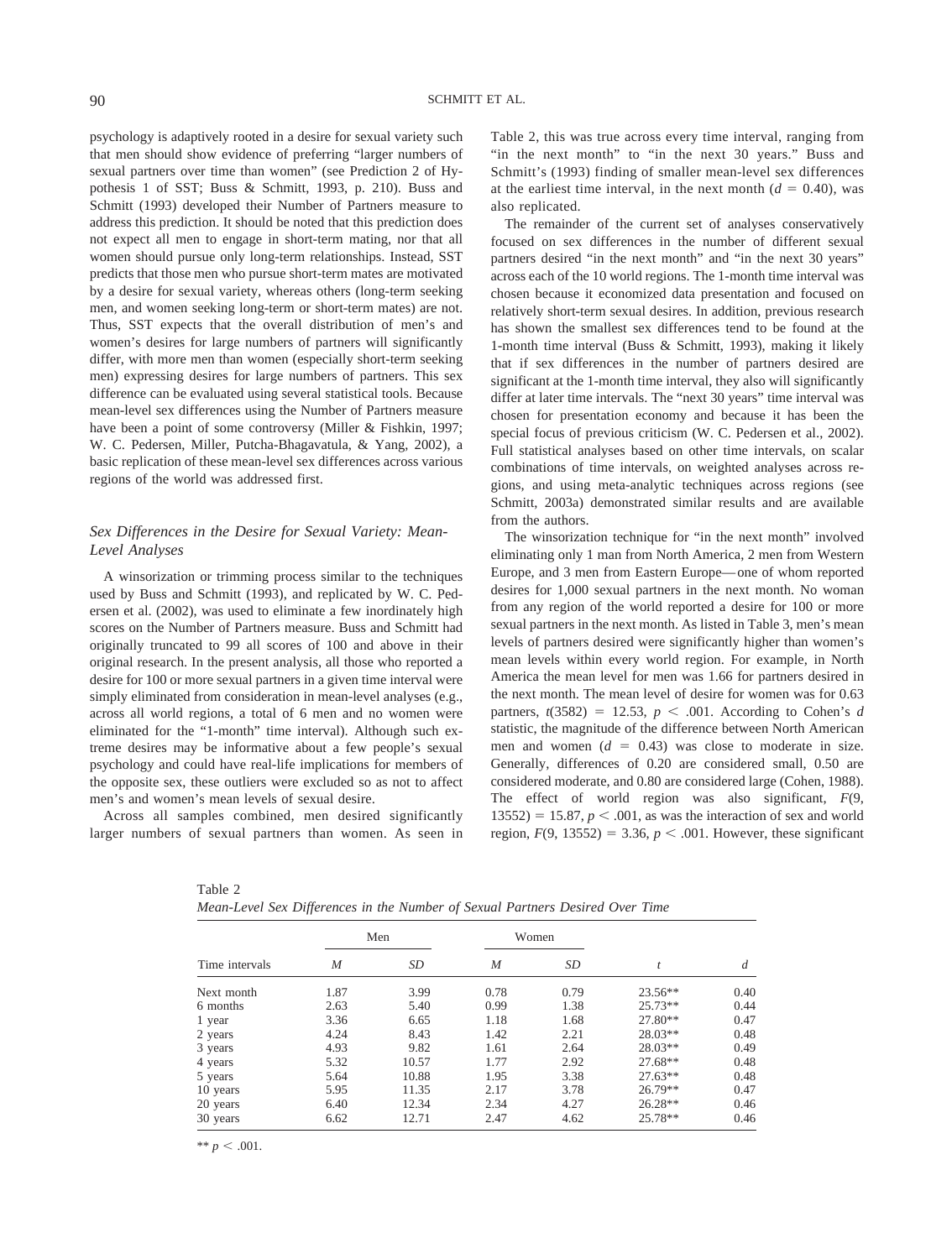psychology is adaptively rooted in a desire for sexual variety such that men should show evidence of preferring "larger numbers of sexual partners over time than women" (see Prediction 2 of Hypothesis 1 of SST; Buss & Schmitt, 1993, p. 210). Buss and Schmitt (1993) developed their Number of Partners measure to address this prediction. It should be noted that this prediction does not expect all men to engage in short-term mating, nor that all women should pursue only long-term relationships. Instead, SST predicts that those men who pursue short-term mates are motivated by a desire for sexual variety, whereas others (long-term seeking men, and women seeking long-term or short-term mates) are not. Thus, SST expects that the overall distribution of men's and women's desires for large numbers of partners will significantly differ, with more men than women (especially short-term seeking men) expressing desires for large numbers of partners. This sex difference can be evaluated using several statistical tools. Because mean-level sex differences using the Number of Partners measure have been a point of some controversy (Miller & Fishkin, 1997; W. C. Pedersen, Miller, Putcha-Bhagavatula, & Yang, 2002), a basic replication of these mean-level sex differences across various regions of the world was addressed first.

# *Sex Differences in the Desire for Sexual Variety: Mean-Level Analyses*

A winsorization or trimming process similar to the techniques used by Buss and Schmitt (1993), and replicated by W. C. Pedersen et al. (2002), was used to eliminate a few inordinately high scores on the Number of Partners measure. Buss and Schmitt had originally truncated to 99 all scores of 100 and above in their original research. In the present analysis, all those who reported a desire for 100 or more sexual partners in a given time interval were simply eliminated from consideration in mean-level analyses (e.g., across all world regions, a total of 6 men and no women were eliminated for the "1-month" time interval). Although such extreme desires may be informative about a few people's sexual psychology and could have real-life implications for members of the opposite sex, these outliers were excluded so as not to affect men's and women's mean levels of sexual desire.

Across all samples combined, men desired significantly larger numbers of sexual partners than women. As seen in Table 2, this was true across every time interval, ranging from "in the next month" to "in the next 30 years." Buss and Schmitt's (1993) finding of smaller mean-level sex differences at the earliest time interval, in the next month  $(d = 0.40)$ , was also replicated.

The remainder of the current set of analyses conservatively focused on sex differences in the number of different sexual partners desired "in the next month" and "in the next 30 years" across each of the 10 world regions. The 1-month time interval was chosen because it economized data presentation and focused on relatively short-term sexual desires. In addition, previous research has shown the smallest sex differences tend to be found at the 1-month time interval (Buss & Schmitt, 1993), making it likely that if sex differences in the number of partners desired are significant at the 1-month time interval, they also will significantly differ at later time intervals. The "next 30 years" time interval was chosen for presentation economy and because it has been the special focus of previous criticism (W. C. Pedersen et al., 2002). Full statistical analyses based on other time intervals, on scalar combinations of time intervals, on weighted analyses across regions, and using meta-analytic techniques across regions (see Schmitt, 2003a) demonstrated similar results and are available from the authors.

The winsorization technique for "in the next month" involved eliminating only 1 man from North America, 2 men from Western Europe, and 3 men from Eastern Europe—one of whom reported desires for 1,000 sexual partners in the next month. No woman from any region of the world reported a desire for 100 or more sexual partners in the next month. As listed in Table 3, men's mean levels of partners desired were significantly higher than women's mean levels within every world region. For example, in North America the mean level for men was 1.66 for partners desired in the next month. The mean level of desire for women was for 0.63 partners,  $t(3582) = 12.53$ ,  $p < .001$ . According to Cohen's *d* statistic, the magnitude of the difference between North American men and women  $(d = 0.43)$  was close to moderate in size. Generally, differences of 0.20 are considered small, 0.50 are considered moderate, and 0.80 are considered large (Cohen, 1988). The effect of world region was also significant, *F*(9,  $13552$ ) = 15.87,  $p < .001$ , as was the interaction of sex and world region,  $F(9, 13552) = 3.36$ ,  $p < .001$ . However, these significant

| Time intervals |                  | Men   |                  | Women |           |      |
|----------------|------------------|-------|------------------|-------|-----------|------|
|                | $\boldsymbol{M}$ | SD    | $\boldsymbol{M}$ | SD    | t         | d    |
| Next month     | 1.87             | 3.99  | 0.78             | 0.79  | $23.56**$ | 0.40 |
| 6 months       | 2.63             | 5.40  | 0.99             | 1.38  | $25.73**$ | 0.44 |
| 1 year         | 3.36             | 6.65  | 1.18             | 1.68  | $27.80**$ | 0.47 |
| 2 years        | 4.24             | 8.43  | 1.42             | 2.21  | $28.03**$ | 0.48 |
| 3 years        | 4.93             | 9.82  | 1.61             | 2.64  | $28.03**$ | 0.49 |
| 4 years        | 5.32             | 10.57 | 1.77             | 2.92  | $27.68**$ | 0.48 |
| 5 years        | 5.64             | 10.88 | 1.95             | 3.38  | $27.63**$ | 0.48 |
| 10 years       | 5.95             | 11.35 | 2.17             | 3.78  | $26.79**$ | 0.47 |
| 20 years       | 6.40             | 12.34 | 2.34             | 4.27  | $26.28**$ | 0.46 |
| 30 years       | 6.62             | 12.71 | 2.47             | 4.62  | $25.78**$ | 0.46 |

*Mean-Level Sex Differences in the Number of Sexual Partners Desired Over Time*

 $** p < .001$ .

Table 2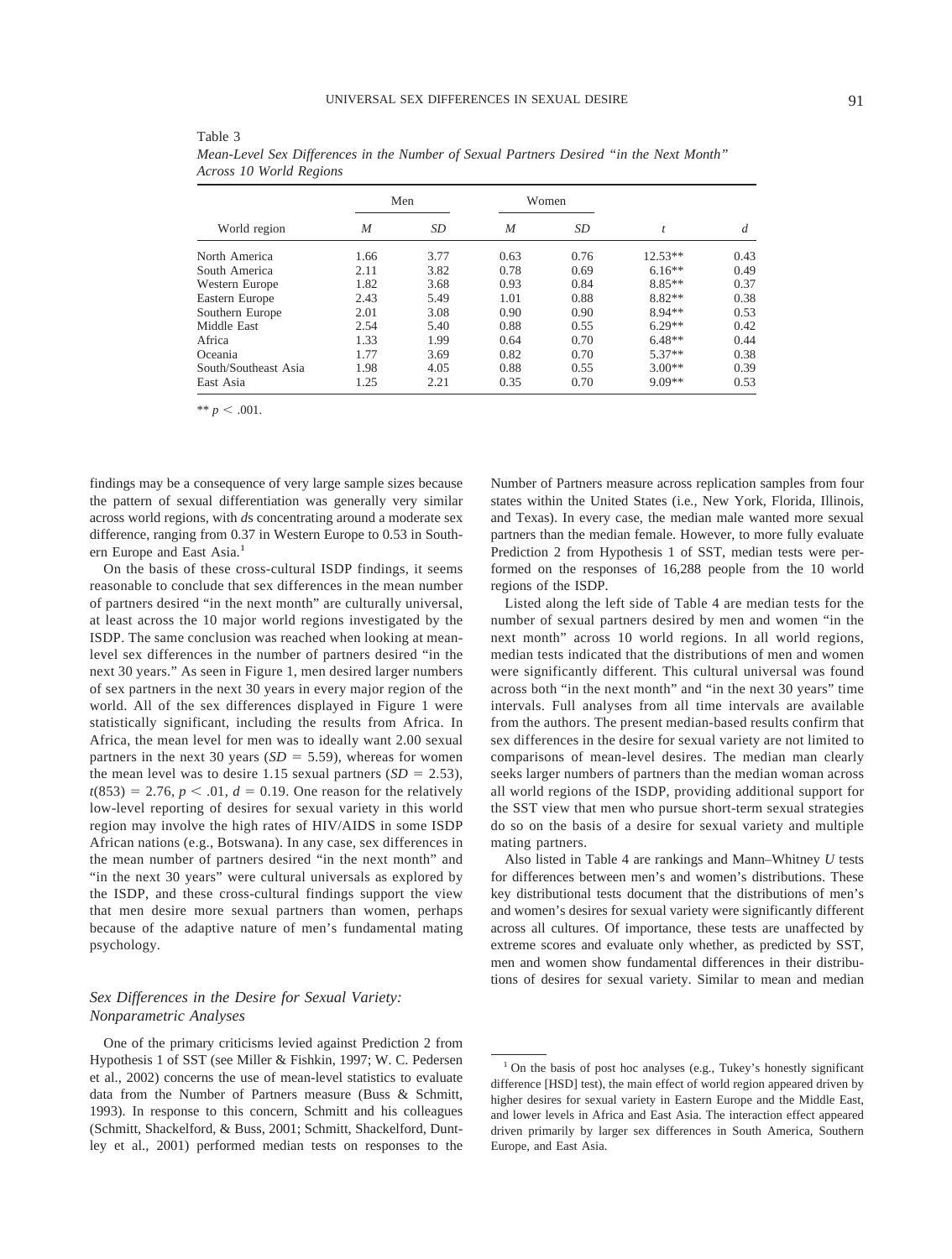|                      | Men  |      |      | Women |           |                |
|----------------------|------|------|------|-------|-----------|----------------|
| World region         | M    | SD   | M    | SD    | t         | $\overline{d}$ |
| North America        | 1.66 | 3.77 | 0.63 | 0.76  | $12.53**$ | 0.43           |
| South America        | 2.11 | 3.82 | 0.78 | 0.69  | $6.16**$  | 0.49           |
| Western Europe       | 1.82 | 3.68 | 0.93 | 0.84  | $8.85***$ | 0.37           |
| Eastern Europe       | 2.43 | 5.49 | 1.01 | 0.88  | 8.82**    | 0.38           |
| Southern Europe      | 2.01 | 3.08 | 0.90 | 0.90  | 8.94**    | 0.53           |
| Middle East          | 2.54 | 5.40 | 0.88 | 0.55  | $6.29**$  | 0.42           |
| Africa               | 1.33 | 1.99 | 0.64 | 0.70  | $6.48**$  | 0.44           |
| Oceania              | 1.77 | 3.69 | 0.82 | 0.70  | $5.37**$  | 0.38           |
| South/Southeast Asia | 1.98 | 4.05 | 0.88 | 0.55  | $3.00**$  | 0.39           |
| East Asia            | 1.25 | 2.21 | 0.35 | 0.70  | $9.09**$  | 0.53           |

Table 3 *Mean-Level Sex Differences in the Number of Sexual Partners Desired "in the Next Month" Across 10 World Regions*

 $** p < .001$ .

findings may be a consequence of very large sample sizes because the pattern of sexual differentiation was generally very similar across world regions, with *d*s concentrating around a moderate sex difference, ranging from 0.37 in Western Europe to 0.53 in Southern Europe and East Asia.<sup>1</sup>

On the basis of these cross-cultural ISDP findings, it seems reasonable to conclude that sex differences in the mean number of partners desired "in the next month" are culturally universal, at least across the 10 major world regions investigated by the ISDP. The same conclusion was reached when looking at meanlevel sex differences in the number of partners desired "in the next 30 years." As seen in Figure 1, men desired larger numbers of sex partners in the next 30 years in every major region of the world. All of the sex differences displayed in Figure 1 were statistically significant, including the results from Africa. In Africa, the mean level for men was to ideally want 2.00 sexual partners in the next 30 years  $(SD = 5.59)$ , whereas for women the mean level was to desire 1.15 sexual partners  $(SD = 2.53)$ ,  $t(853) = 2.76, p < .01, d = 0.19$ . One reason for the relatively low-level reporting of desires for sexual variety in this world region may involve the high rates of HIV/AIDS in some ISDP African nations (e.g., Botswana). In any case, sex differences in the mean number of partners desired "in the next month" and "in the next 30 years" were cultural universals as explored by the ISDP, and these cross-cultural findings support the view that men desire more sexual partners than women, perhaps because of the adaptive nature of men's fundamental mating psychology.

# *Sex Differences in the Desire for Sexual Variety: Nonparametric Analyses*

One of the primary criticisms levied against Prediction 2 from Hypothesis 1 of SST (see Miller & Fishkin, 1997; W. C. Pedersen et al., 2002) concerns the use of mean-level statistics to evaluate data from the Number of Partners measure (Buss & Schmitt, 1993). In response to this concern, Schmitt and his colleagues (Schmitt, Shackelford, & Buss, 2001; Schmitt, Shackelford, Duntley et al., 2001) performed median tests on responses to the

Number of Partners measure across replication samples from four states within the United States (i.e., New York, Florida, Illinois, and Texas). In every case, the median male wanted more sexual partners than the median female. However, to more fully evaluate Prediction 2 from Hypothesis 1 of SST, median tests were performed on the responses of 16,288 people from the 10 world regions of the ISDP.

Listed along the left side of Table 4 are median tests for the number of sexual partners desired by men and women "in the next month" across 10 world regions. In all world regions, median tests indicated that the distributions of men and women were significantly different. This cultural universal was found across both "in the next month" and "in the next 30 years" time intervals. Full analyses from all time intervals are available from the authors. The present median-based results confirm that sex differences in the desire for sexual variety are not limited to comparisons of mean-level desires. The median man clearly seeks larger numbers of partners than the median woman across all world regions of the ISDP, providing additional support for the SST view that men who pursue short-term sexual strategies do so on the basis of a desire for sexual variety and multiple mating partners.

Also listed in Table 4 are rankings and Mann–Whitney *U* tests for differences between men's and women's distributions. These key distributional tests document that the distributions of men's and women's desires for sexual variety were significantly different across all cultures. Of importance, these tests are unaffected by extreme scores and evaluate only whether, as predicted by SST, men and women show fundamental differences in their distributions of desires for sexual variety. Similar to mean and median

 $1$  On the basis of post hoc analyses (e.g., Tukey's honestly significant difference [HSD] test), the main effect of world region appeared driven by higher desires for sexual variety in Eastern Europe and the Middle East, and lower levels in Africa and East Asia. The interaction effect appeared driven primarily by larger sex differences in South America, Southern Europe, and East Asia.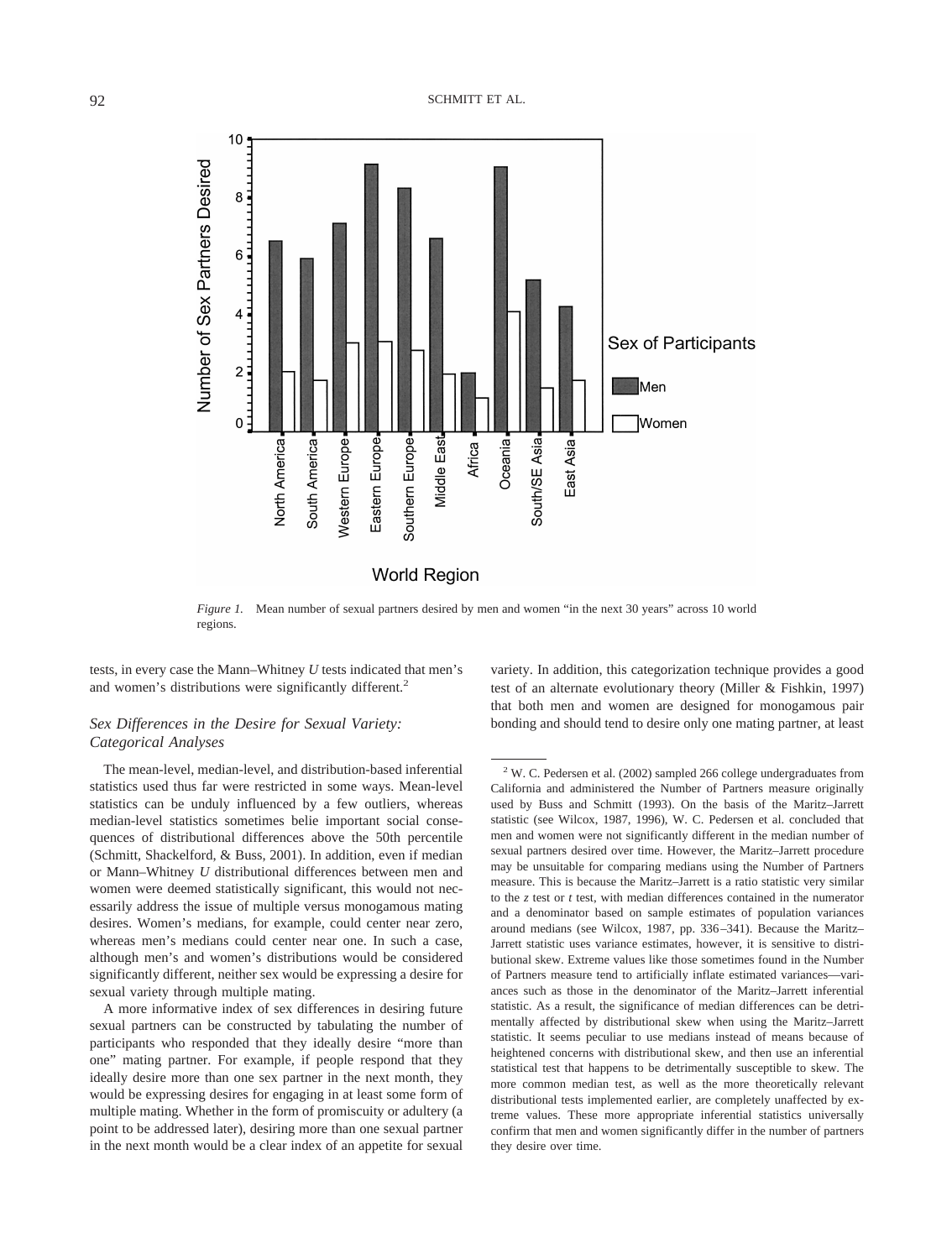

*Figure 1.* Mean number of sexual partners desired by men and women "in the next 30 years" across 10 world regions.

tests, in every case the Mann–Whitney *U* tests indicated that men's and women's distributions were significantly different.<sup>2</sup>

# *Sex Differences in the Desire for Sexual Variety: Categorical Analyses*

The mean-level, median-level, and distribution-based inferential statistics used thus far were restricted in some ways. Mean-level statistics can be unduly influenced by a few outliers, whereas median-level statistics sometimes belie important social consequences of distributional differences above the 50th percentile (Schmitt, Shackelford, & Buss, 2001). In addition, even if median or Mann–Whitney *U* distributional differences between men and women were deemed statistically significant, this would not necessarily address the issue of multiple versus monogamous mating desires. Women's medians, for example, could center near zero, whereas men's medians could center near one. In such a case, although men's and women's distributions would be considered significantly different, neither sex would be expressing a desire for sexual variety through multiple mating.

A more informative index of sex differences in desiring future sexual partners can be constructed by tabulating the number of participants who responded that they ideally desire "more than one" mating partner. For example, if people respond that they ideally desire more than one sex partner in the next month, they would be expressing desires for engaging in at least some form of multiple mating. Whether in the form of promiscuity or adultery (a point to be addressed later), desiring more than one sexual partner in the next month would be a clear index of an appetite for sexual variety. In addition, this categorization technique provides a good test of an alternate evolutionary theory (Miller & Fishkin, 1997) that both men and women are designed for monogamous pair bonding and should tend to desire only one mating partner, at least

<sup>2</sup> W. C. Pedersen et al. (2002) sampled 266 college undergraduates from California and administered the Number of Partners measure originally used by Buss and Schmitt (1993). On the basis of the Maritz–Jarrett statistic (see Wilcox, 1987, 1996), W. C. Pedersen et al. concluded that men and women were not significantly different in the median number of sexual partners desired over time. However, the Maritz–Jarrett procedure may be unsuitable for comparing medians using the Number of Partners measure. This is because the Maritz–Jarrett is a ratio statistic very similar to the *z* test or *t* test, with median differences contained in the numerator and a denominator based on sample estimates of population variances around medians (see Wilcox, 1987, pp. 336–341). Because the Maritz– Jarrett statistic uses variance estimates, however, it is sensitive to distributional skew. Extreme values like those sometimes found in the Number of Partners measure tend to artificially inflate estimated variances—variances such as those in the denominator of the Maritz–Jarrett inferential statistic. As a result, the significance of median differences can be detrimentally affected by distributional skew when using the Maritz–Jarrett statistic. It seems peculiar to use medians instead of means because of heightened concerns with distributional skew, and then use an inferential statistical test that happens to be detrimentally susceptible to skew. The more common median test, as well as the more theoretically relevant distributional tests implemented earlier, are completely unaffected by extreme values. These more appropriate inferential statistics universally confirm that men and women significantly differ in the number of partners they desire over time.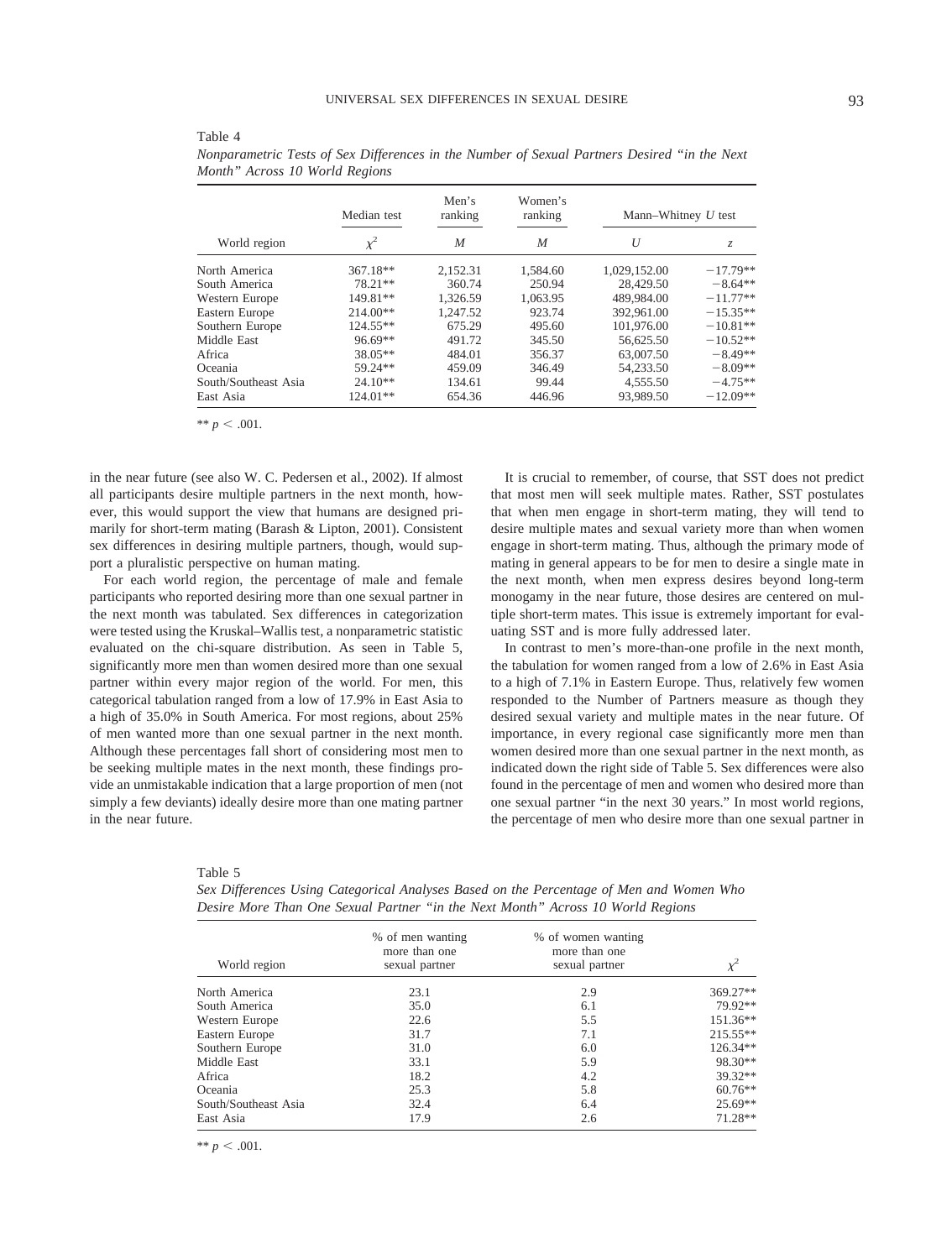| Month" Across 10 World Regions |             |                  |                    |                       |            |  |  |  |
|--------------------------------|-------------|------------------|--------------------|-----------------------|------------|--|--|--|
|                                | Median test | Men's<br>ranking | Women's<br>ranking | Mann-Whitney $U$ test |            |  |  |  |
| World region                   | $\chi^2$    | M                | M                  | U                     | Z.         |  |  |  |
| North America                  | $367.18**$  | 2,152.31         | 1.584.60           | 1,029,152.00          | $-17.79**$ |  |  |  |
| South America                  | 78.21 **    | 360.74           | 250.94             | 28,429.50             | $-8.64**$  |  |  |  |
| Western Europe                 | 149.81**    | 1.326.59         | 1,063.95           | 489,984.00            | $-11.77**$ |  |  |  |
| Eastern Europe                 | 214.00**    | 1.247.52         | 923.74             | 392,961.00            | $-15.35**$ |  |  |  |
| Southern Europe                | 124.55**    | 675.29           | 495.60             | 101.976.00            | $-10.81**$ |  |  |  |
| Middle East                    | $96.69**$   | 491.72           | 345.50             | 56,625.50             | $-10.52**$ |  |  |  |
| Africa                         | 38.05**     | 484.01           | 356.37             | 63,007.50             | $-8.49**$  |  |  |  |
| Oceania                        | 59.24**     | 459.09           | 346.49             | 54.233.50             | $-8.09**$  |  |  |  |
| South/Southeast Asia           | $24.10**$   | 134.61           | 99.44              | 4,555.50              | $-4.75**$  |  |  |  |
| East Asia                      | 124.01**    | 654.36           | 446.96             | 93.989.50             | $-12.09**$ |  |  |  |

*Nonparametric Tests of Sex Differences in the Number of Sexual Partners Desired "in the Next*

 $** p < .001$ .

Table 4

in the near future (see also W. C. Pedersen et al., 2002). If almost all participants desire multiple partners in the next month, however, this would support the view that humans are designed primarily for short-term mating (Barash & Lipton, 2001). Consistent sex differences in desiring multiple partners, though, would support a pluralistic perspective on human mating.

For each world region, the percentage of male and female participants who reported desiring more than one sexual partner in the next month was tabulated. Sex differences in categorization were tested using the Kruskal–Wallis test, a nonparametric statistic evaluated on the chi-square distribution. As seen in Table 5, significantly more men than women desired more than one sexual partner within every major region of the world. For men, this categorical tabulation ranged from a low of 17.9% in East Asia to a high of 35.0% in South America. For most regions, about 25% of men wanted more than one sexual partner in the next month. Although these percentages fall short of considering most men to be seeking multiple mates in the next month, these findings provide an unmistakable indication that a large proportion of men (not simply a few deviants) ideally desire more than one mating partner in the near future.

It is crucial to remember, of course, that SST does not predict that most men will seek multiple mates. Rather, SST postulates that when men engage in short-term mating, they will tend to desire multiple mates and sexual variety more than when women engage in short-term mating. Thus, although the primary mode of mating in general appears to be for men to desire a single mate in the next month, when men express desires beyond long-term monogamy in the near future, those desires are centered on multiple short-term mates. This issue is extremely important for evaluating SST and is more fully addressed later.

In contrast to men's more-than-one profile in the next month, the tabulation for women ranged from a low of 2.6% in East Asia to a high of 7.1% in Eastern Europe. Thus, relatively few women responded to the Number of Partners measure as though they desired sexual variety and multiple mates in the near future. Of importance, in every regional case significantly more men than women desired more than one sexual partner in the next month, as indicated down the right side of Table 5. Sex differences were also found in the percentage of men and women who desired more than one sexual partner "in the next 30 years." In most world regions, the percentage of men who desire more than one sexual partner in

Table 5

*Sex Differences Using Categorical Analyses Based on the Percentage of Men and Women Who Desire More Than One Sexual Partner "in the Next Month" Across 10 World Regions*

|                      | % of men wanting<br>more than one | % of women wanting<br>more than one |            |
|----------------------|-----------------------------------|-------------------------------------|------------|
| World region         | sexual partner                    | sexual partner                      |            |
| North America        | 23.1                              | 2.9                                 | 369.27**   |
| South America        | 35.0                              | 6.1                                 | 79.92**    |
| Western Europe       | 22.6                              | 5.5                                 | 151.36**   |
| Eastern Europe       | 31.7                              | 7.1                                 | 215.55**   |
| Southern Europe      | 31.0                              | 6.0                                 | $126.34**$ |
| Middle East          | 33.1                              | 5.9                                 | 98.30**    |
| Africa               | 18.2                              | 4.2                                 | 39.32**    |
| Oceania              | 25.3                              | 5.8                                 | $60.76**$  |
| South/Southeast Asia | 32.4                              | 6.4                                 | $25.69**$  |
| East Asia            | 17.9                              | 2.6                                 | $71.28**$  |

 $** p < .001$ .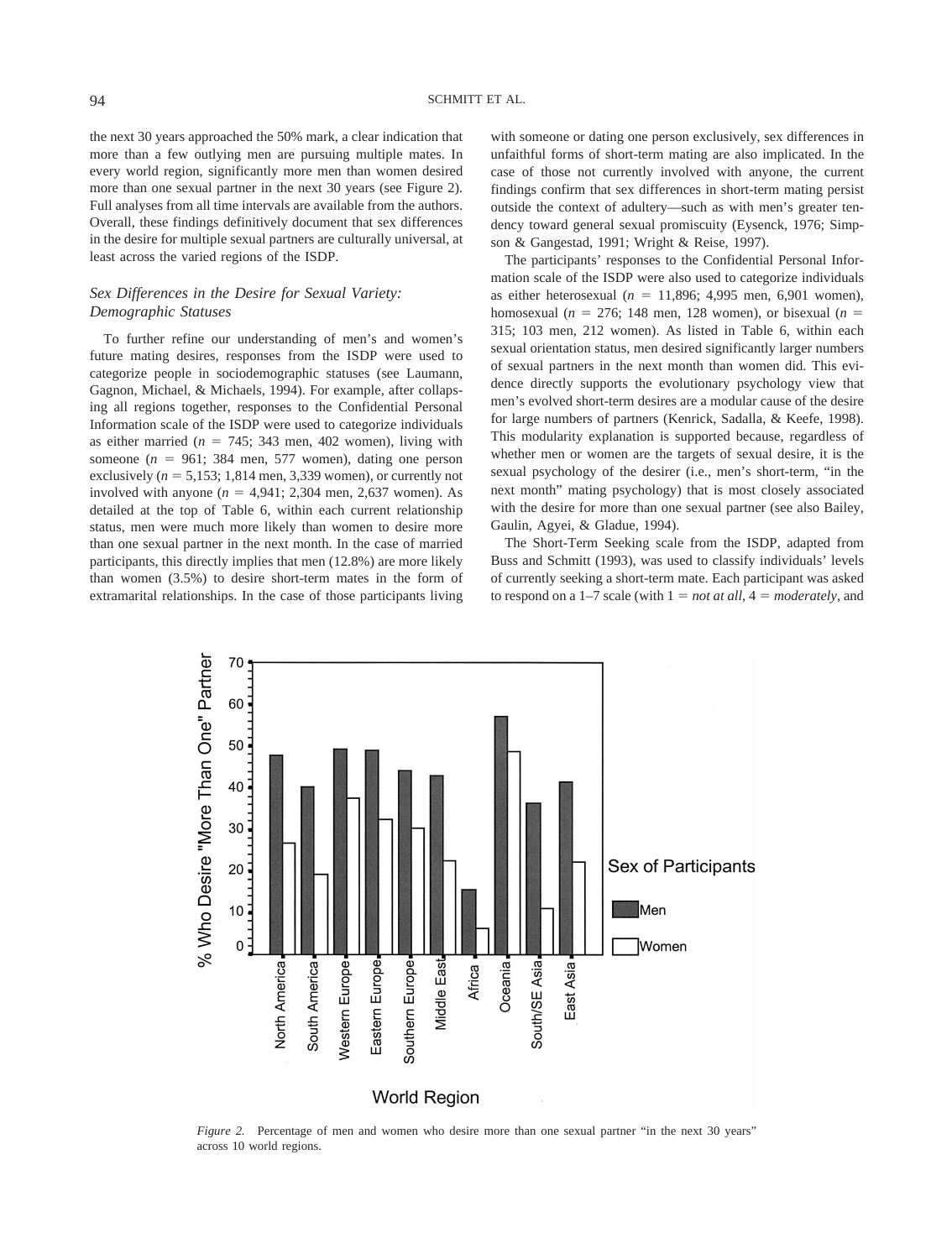the next 30 years approached the 50% mark, a clear indication that more than a few outlying men are pursuing multiple mates. In every world region, significantly more men than women desired more than one sexual partner in the next 30 years (see Figure 2). Full analyses from all time intervals are available from the authors. Overall, these findings definitively document that sex differences in the desire for multiple sexual partners are culturally universal, at least across the varied regions of the ISDP.

# *Sex Differences in the Desire for Sexual Variety: Demographic Statuses*

To further refine our understanding of men's and women's future mating desires, responses from the ISDP were used to categorize people in sociodemographic statuses (see Laumann, Gagnon, Michael, & Michaels, 1994). For example, after collapsing all regions together, responses to the Confidential Personal Information scale of the ISDP were used to categorize individuals as either married ( $n = 745$ ; 343 men, 402 women), living with someone ( $n = 961$ ; 384 men, 577 women), dating one person exclusively  $(n = 5,153; 1,814 \text{ men}, 3,339 \text{ women})$ , or currently not involved with anyone  $(n = 4.941; 2.304$  men, 2,637 women). As detailed at the top of Table 6, within each current relationship status, men were much more likely than women to desire more than one sexual partner in the next month. In the case of married participants, this directly implies that men (12.8%) are more likely than women (3.5%) to desire short-term mates in the form of extramarital relationships. In the case of those participants living with someone or dating one person exclusively, sex differences in unfaithful forms of short-term mating are also implicated. In the case of those not currently involved with anyone, the current findings confirm that sex differences in short-term mating persist outside the context of adultery—such as with men's greater tendency toward general sexual promiscuity (Eysenck, 1976; Simpson & Gangestad, 1991; Wright & Reise, 1997).

The participants' responses to the Confidential Personal Information scale of the ISDP were also used to categorize individuals as either heterosexual ( $n = 11,896$ ; 4,995 men, 6,901 women), homosexual ( $n = 276$ ; 148 men, 128 women), or bisexual ( $n =$ 315; 103 men, 212 women). As listed in Table 6, within each sexual orientation status, men desired significantly larger numbers of sexual partners in the next month than women did. This evidence directly supports the evolutionary psychology view that men's evolved short-term desires are a modular cause of the desire for large numbers of partners (Kenrick, Sadalla, & Keefe, 1998). This modularity explanation is supported because, regardless of whether men or women are the targets of sexual desire, it is the sexual psychology of the desirer (i.e., men's short-term, "in the next month" mating psychology) that is most closely associated with the desire for more than one sexual partner (see also Bailey, Gaulin, Agyei, & Gladue, 1994).

The Short-Term Seeking scale from the ISDP, adapted from Buss and Schmitt (1993), was used to classify individuals' levels of currently seeking a short-term mate. Each participant was asked to respond on a 1–7 scale (with  $1 = not at all$ ,  $4 = moderately$ , and



*Figure 2.* Percentage of men and women who desire more than one sexual partner "in the next 30 years" across 10 world regions.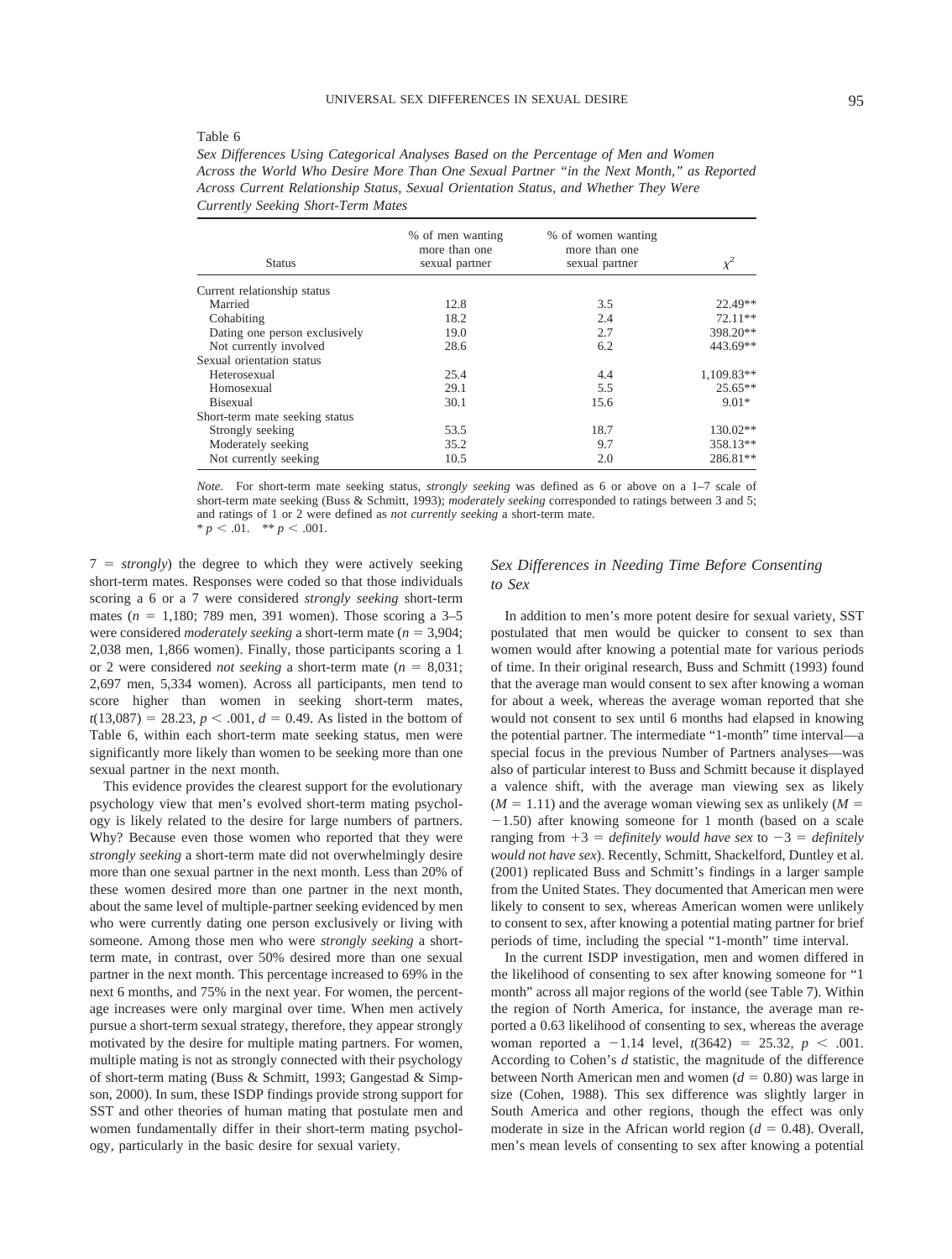#### Table 6

*Sex Differences Using Categorical Analyses Based on the Percentage of Men and Women Across the World Who Desire More Than One Sexual Partner "in the Next Month," as Reported Across Current Relationship Status, Sexual Orientation Status, and Whether They Were Currently Seeking Short-Term Mates*

|                                | % of men wanting | % of women wanting |            |
|--------------------------------|------------------|--------------------|------------|
|                                | more than one    | more than one      |            |
| <b>Status</b>                  | sexual partner   | sexual partner     | $\chi^2$   |
| Current relationship status    |                  |                    |            |
| Married                        | 12.8             | 3.5                | $22.49**$  |
| Cohabiting                     | 18.2             | 2.4                | $72.11**$  |
| Dating one person exclusively  | 19.0             | 2.7                | 398.20**   |
| Not currently involved         | 28.6             | 6.2                | 443.69**   |
| Sexual orientation status      |                  |                    |            |
| Heterosexual                   | 25.4             | 4.4                | 1,109.83** |
| Homosexual                     | 29.1             | 5.5                | $25.65**$  |
| <b>Bisexual</b>                | 30.1             | 15.6               | $9.01*$    |
| Short-term mate seeking status |                  |                    |            |
| Strongly seeking               | 53.5             | 18.7               | 130.02**   |
| Moderately seeking             | 35.2             | 9.7                | 358.13**   |
| Not currently seeking          | 10.5             | 2.0                | 286.81**   |

*Note.* For short-term mate seeking status, *strongly seeking* was defined as 6 or above on a 1–7 scale of short-term mate seeking (Buss & Schmitt, 1993); *moderately seeking* corresponded to ratings between 3 and 5; and ratings of 1 or 2 were defined as *not currently seeking* a short-term mate.  $* p < .01.$  \*\*  $p < .001.$ 

 $7 = strongly$ ) the degree to which they were actively seeking short-term mates. Responses were coded so that those individuals scoring a 6 or a 7 were considered *strongly seeking* short-term mates ( $n = 1,180$ ; 789 men, 391 women). Those scoring a 3–5 were considered *moderately seeking* a short-term mate ( $n = 3,904$ ; 2,038 men, 1,866 women). Finally, those participants scoring a 1 or 2 were considered *not seeking* a short-term mate  $(n = 8,031)$ ; 2,697 men, 5,334 women). Across all participants, men tend to score higher than women in seeking short-term mates,  $t(13,087) = 28.23, p < .001, d = 0.49$ . As listed in the bottom of Table 6, within each short-term mate seeking status, men were significantly more likely than women to be seeking more than one sexual partner in the next month.

This evidence provides the clearest support for the evolutionary psychology view that men's evolved short-term mating psychology is likely related to the desire for large numbers of partners. Why? Because even those women who reported that they were *strongly seeking* a short-term mate did not overwhelmingly desire more than one sexual partner in the next month. Less than 20% of these women desired more than one partner in the next month, about the same level of multiple-partner seeking evidenced by men who were currently dating one person exclusively or living with someone. Among those men who were *strongly seeking* a shortterm mate, in contrast, over 50% desired more than one sexual partner in the next month. This percentage increased to 69% in the next 6 months, and 75% in the next year. For women, the percentage increases were only marginal over time. When men actively pursue a short-term sexual strategy, therefore, they appear strongly motivated by the desire for multiple mating partners. For women, multiple mating is not as strongly connected with their psychology of short-term mating (Buss & Schmitt, 1993; Gangestad & Simpson, 2000). In sum, these ISDP findings provide strong support for SST and other theories of human mating that postulate men and women fundamentally differ in their short-term mating psychology, particularly in the basic desire for sexual variety.

# *Sex Differences in Needing Time Before Consenting to Sex*

In addition to men's more potent desire for sexual variety, SST postulated that men would be quicker to consent to sex than women would after knowing a potential mate for various periods of time. In their original research, Buss and Schmitt (1993) found that the average man would consent to sex after knowing a woman for about a week, whereas the average woman reported that she would not consent to sex until 6 months had elapsed in knowing the potential partner. The intermediate "1-month" time interval—a special focus in the previous Number of Partners analyses—was also of particular interest to Buss and Schmitt because it displayed a valence shift, with the average man viewing sex as likely  $(M = 1.11)$  and the average woman viewing sex as unlikely  $(M = 1.11)$  $-1.50$ ) after knowing someone for 1 month (based on a scale ranging from  $+3 =$  *definitely would have sex* to  $-3 =$  *definitely would not have sex*). Recently, Schmitt, Shackelford, Duntley et al. (2001) replicated Buss and Schmitt's findings in a larger sample from the United States. They documented that American men were likely to consent to sex, whereas American women were unlikely to consent to sex, after knowing a potential mating partner for brief periods of time, including the special "1-month" time interval.

In the current ISDP investigation, men and women differed in the likelihood of consenting to sex after knowing someone for "1 month" across all major regions of the world (see Table 7). Within the region of North America, for instance, the average man reported a 0.63 likelihood of consenting to sex, whereas the average woman reported a  $-1.14$  level,  $t(3642) = 25.32$ ,  $p < .001$ . According to Cohen's *d* statistic, the magnitude of the difference between North American men and women  $(d = 0.80)$  was large in size (Cohen, 1988). This sex difference was slightly larger in South America and other regions, though the effect was only moderate in size in the African world region  $(d = 0.48)$ . Overall, men's mean levels of consenting to sex after knowing a potential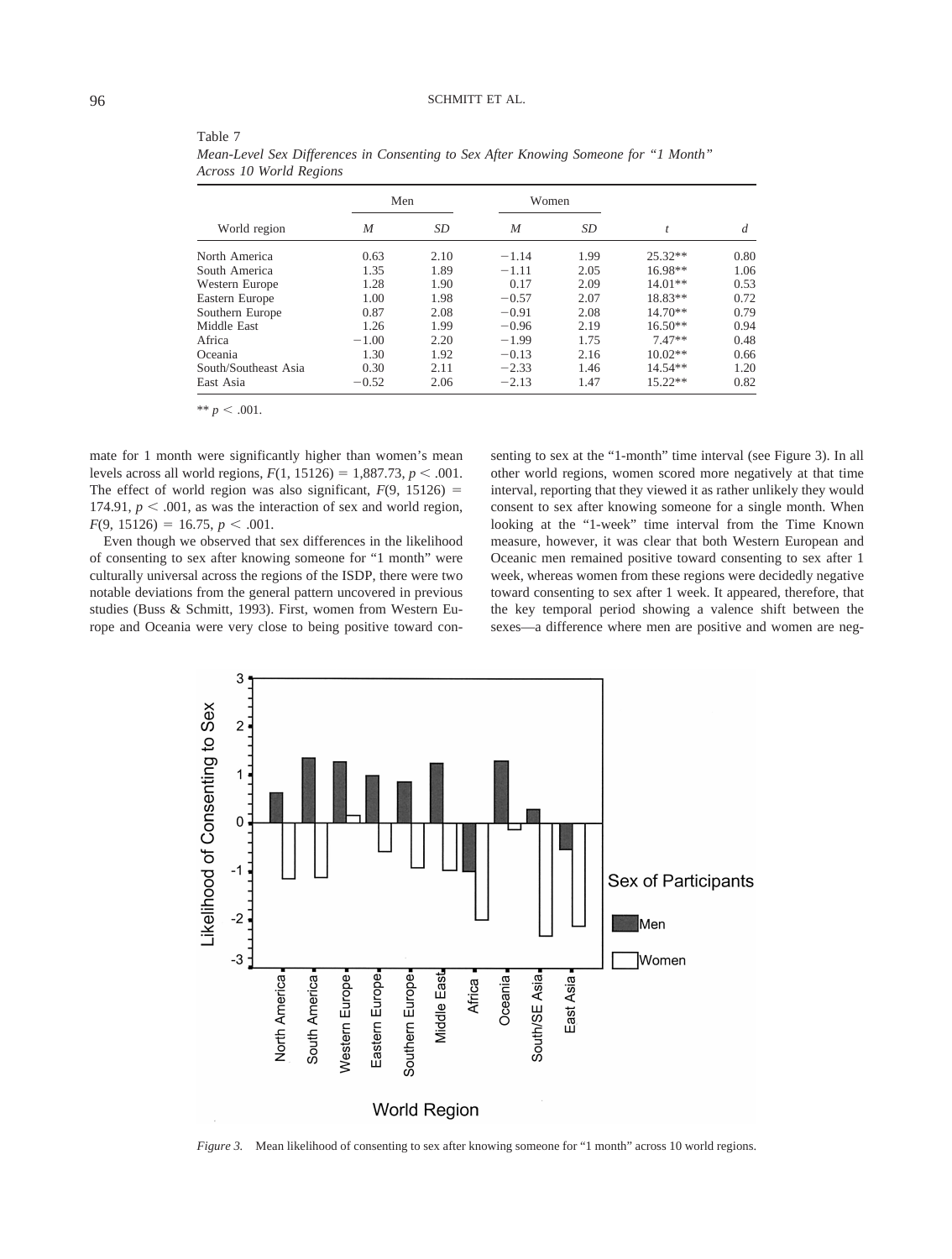|                      | Men     |      | Women   |      |           |                |
|----------------------|---------|------|---------|------|-----------|----------------|
| World region         | M       | SD   | M       | SD   | t         | $\overline{d}$ |
| North America        | 0.63    | 2.10 | $-1.14$ | 1.99 | $25.32**$ | 0.80           |
| South America        | 1.35    | 1.89 | $-1.11$ | 2.05 | 16.98**   | 1.06           |
| Western Europe       | 1.28    | 1.90 | 0.17    | 2.09 | $14.01**$ | 0.53           |
| Eastern Europe       | 1.00    | 1.98 | $-0.57$ | 2.07 | 18.83**   | 0.72           |
| Southern Europe      | 0.87    | 2.08 | $-0.91$ | 2.08 | $14.70**$ | 0.79           |
| Middle East          | 1.26    | 1.99 | $-0.96$ | 2.19 | $16.50**$ | 0.94           |
| Africa               | $-1.00$ | 2.20 | $-1.99$ | 1.75 | $7.47**$  | 0.48           |
| Oceania              | 1.30    | 1.92 | $-0.13$ | 2.16 | $10.02**$ | 0.66           |
| South/Southeast Asia | 0.30    | 2.11 | $-2.33$ | 1.46 | 14.54**   | 1.20           |
| East Asia            | $-0.52$ | 2.06 | $-2.13$ | 1.47 | $15.22**$ | 0.82           |

Table 7 *Mean-Level Sex Differences in Consenting to Sex After Knowing Someone for "1 Month" Across 10 World Regions*

 $** p < .001$ .

mate for 1 month were significantly higher than women's mean levels across all world regions,  $F(1, 15126) = 1,887.73, p < .001$ . The effect of world region was also significant,  $F(9, 15126) =$ 174.91,  $p < .001$ , as was the interaction of sex and world region,  $F(9, 15126) = 16.75, p < .001.$ 

Even though we observed that sex differences in the likelihood of consenting to sex after knowing someone for "1 month" were culturally universal across the regions of the ISDP, there were two notable deviations from the general pattern uncovered in previous studies (Buss & Schmitt, 1993). First, women from Western Europe and Oceania were very close to being positive toward consenting to sex at the "1-month" time interval (see Figure 3). In all other world regions, women scored more negatively at that time interval, reporting that they viewed it as rather unlikely they would consent to sex after knowing someone for a single month. When looking at the "1-week" time interval from the Time Known measure, however, it was clear that both Western European and Oceanic men remained positive toward consenting to sex after 1 week, whereas women from these regions were decidedly negative toward consenting to sex after 1 week. It appeared, therefore, that the key temporal period showing a valence shift between the sexes—a difference where men are positive and women are neg-



*Figure 3.* Mean likelihood of consenting to sex after knowing someone for "1 month" across 10 world regions.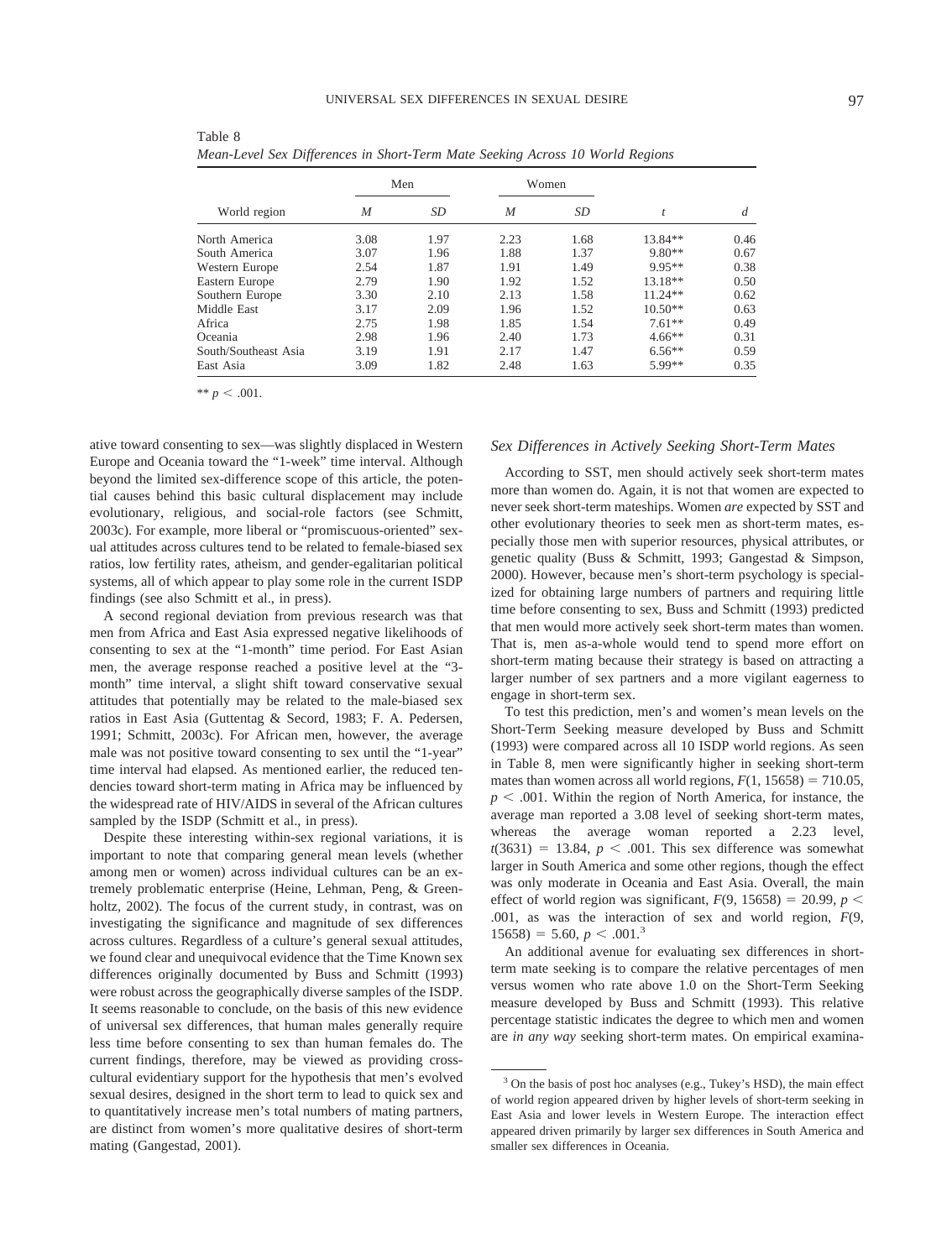| World region         | Men  |      |                  | Women |           |      |
|----------------------|------|------|------------------|-------|-----------|------|
|                      | M    | SD   | $\boldsymbol{M}$ | SD    |           | d    |
| North America        | 3.08 | 1.97 | 2.23             | 1.68  | 13.84**   | 0.46 |
| South America        | 3.07 | 1.96 | 1.88             | 1.37  | 9.80**    | 0.67 |
| Western Europe       | 2.54 | 1.87 | 1.91             | 1.49  | 9.95**    | 0.38 |
| Eastern Europe       | 2.79 | 1.90 | 1.92             | 1.52  | $13.18**$ | 0.50 |
| Southern Europe      | 3.30 | 2.10 | 2.13             | 1.58  | $11.24**$ | 0.62 |
| Middle East          | 3.17 | 2.09 | 1.96             | 1.52  | $10.50**$ | 0.63 |
| Africa               | 2.75 | 1.98 | 1.85             | 1.54  | $7.61**$  | 0.49 |
| Oceania              | 2.98 | 1.96 | 2.40             | 1.73  | $4.66**$  | 0.31 |
| South/Southeast Asia | 3.19 | 1.91 | 2.17             | 1.47  | $6.56**$  | 0.59 |
| East Asia            | 3.09 | 1.82 | 2.48             | 1.63  | 5.99**    | 0.35 |

Table 8 *Mean-Level Sex Differences in Short-Term Mate Seeking Across 10 World Regions*

 $*$  *p*  $< .001$ .

ative toward consenting to sex—was slightly displaced in Western Europe and Oceania toward the "1-week" time interval. Although beyond the limited sex-difference scope of this article, the potential causes behind this basic cultural displacement may include evolutionary, religious, and social-role factors (see Schmitt, 2003c). For example, more liberal or "promiscuous-oriented" sexual attitudes across cultures tend to be related to female-biased sex ratios, low fertility rates, atheism, and gender-egalitarian political systems, all of which appear to play some role in the current ISDP findings (see also Schmitt et al., in press).

A second regional deviation from previous research was that men from Africa and East Asia expressed negative likelihoods of consenting to sex at the "1-month" time period. For East Asian men, the average response reached a positive level at the "3 month" time interval, a slight shift toward conservative sexual attitudes that potentially may be related to the male-biased sex ratios in East Asia (Guttentag & Secord, 1983; F. A. Pedersen, 1991; Schmitt, 2003c). For African men, however, the average male was not positive toward consenting to sex until the "1-year" time interval had elapsed. As mentioned earlier, the reduced tendencies toward short-term mating in Africa may be influenced by the widespread rate of HIV/AIDS in several of the African cultures sampled by the ISDP (Schmitt et al., in press).

Despite these interesting within-sex regional variations, it is important to note that comparing general mean levels (whether among men or women) across individual cultures can be an extremely problematic enterprise (Heine, Lehman, Peng, & Greenholtz, 2002). The focus of the current study, in contrast, was on investigating the significance and magnitude of sex differences across cultures. Regardless of a culture's general sexual attitudes, we found clear and unequivocal evidence that the Time Known sex differences originally documented by Buss and Schmitt (1993) were robust across the geographically diverse samples of the ISDP. It seems reasonable to conclude, on the basis of this new evidence of universal sex differences, that human males generally require less time before consenting to sex than human females do. The current findings, therefore, may be viewed as providing crosscultural evidentiary support for the hypothesis that men's evolved sexual desires, designed in the short term to lead to quick sex and to quantitatively increase men's total numbers of mating partners, are distinct from women's more qualitative desires of short-term mating (Gangestad, 2001).

## *Sex Differences in Actively Seeking Short-Term Mates*

According to SST, men should actively seek short-term mates more than women do. Again, it is not that women are expected to never seek short-term mateships. Women *are* expected by SST and other evolutionary theories to seek men as short-term mates, especially those men with superior resources, physical attributes, or genetic quality (Buss & Schmitt, 1993; Gangestad & Simpson, 2000). However, because men's short-term psychology is specialized for obtaining large numbers of partners and requiring little time before consenting to sex, Buss and Schmitt (1993) predicted that men would more actively seek short-term mates than women. That is, men as-a-whole would tend to spend more effort on short-term mating because their strategy is based on attracting a larger number of sex partners and a more vigilant eagerness to engage in short-term sex.

To test this prediction, men's and women's mean levels on the Short-Term Seeking measure developed by Buss and Schmitt (1993) were compared across all 10 ISDP world regions. As seen in Table 8, men were significantly higher in seeking short-term mates than women across all world regions,  $F(1, 15658) = 710.05$ ,  $p < .001$ . Within the region of North America, for instance, the average man reported a 3.08 level of seeking short-term mates, whereas the average woman reported a 2.23 level,  $t(3631) = 13.84$ ,  $p < .001$ . This sex difference was somewhat larger in South America and some other regions, though the effect was only moderate in Oceania and East Asia. Overall, the main effect of world region was significant,  $F(9, 15658) = 20.99$ ,  $p <$ .001, as was the interaction of sex and world region, *F*(9,  $15658$ ) = 5.60, *p* < .001.<sup>3</sup>

An additional avenue for evaluating sex differences in shortterm mate seeking is to compare the relative percentages of men versus women who rate above 1.0 on the Short-Term Seeking measure developed by Buss and Schmitt (1993). This relative percentage statistic indicates the degree to which men and women are *in any way* seeking short-term mates. On empirical examina-

<sup>3</sup> On the basis of post hoc analyses (e.g., Tukey's HSD), the main effect of world region appeared driven by higher levels of short-term seeking in East Asia and lower levels in Western Europe. The interaction effect appeared driven primarily by larger sex differences in South America and smaller sex differences in Oceania.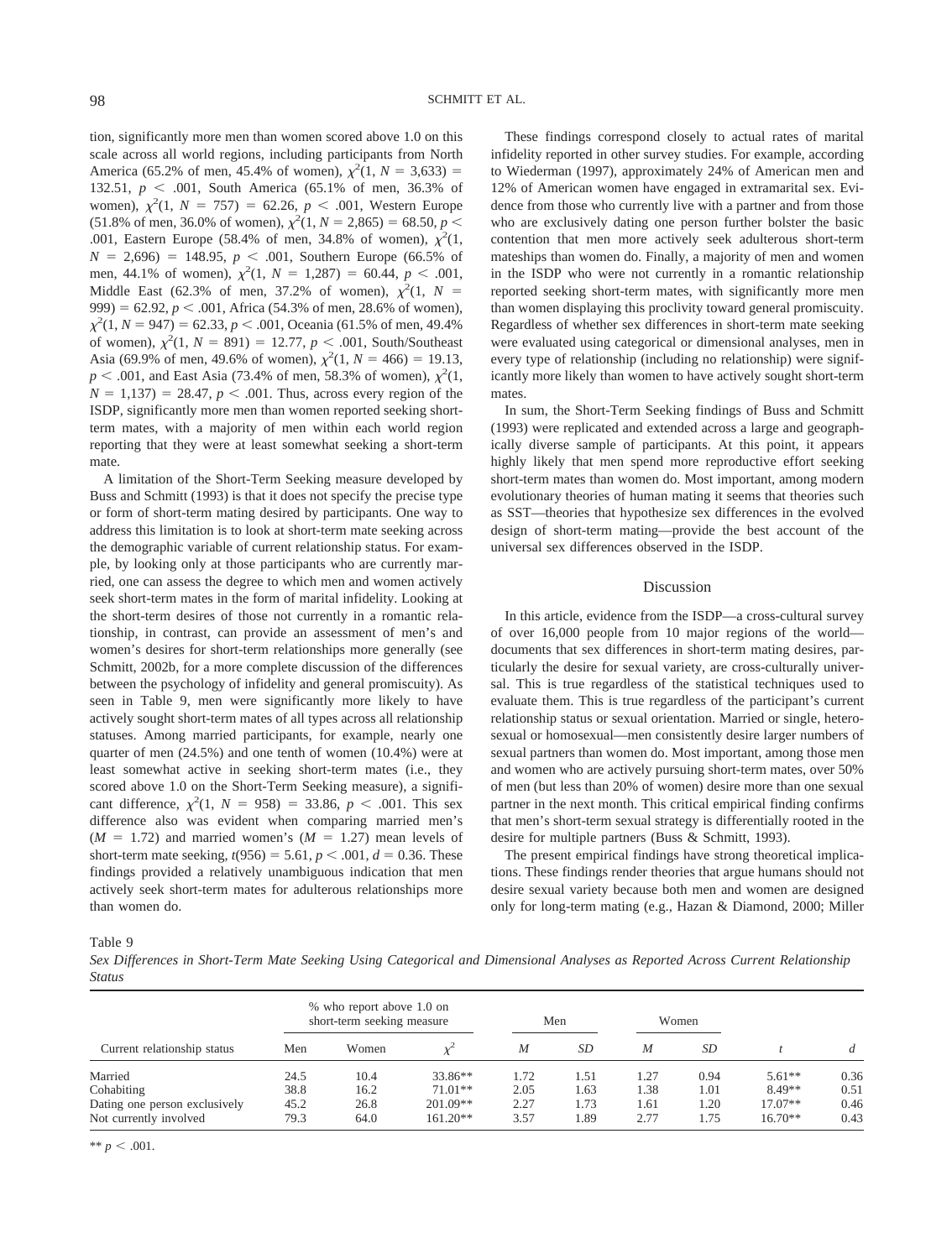tion, significantly more men than women scored above 1.0 on this scale across all world regions, including participants from North America (65.2% of men, 45.4% of women),  $\chi^2(1, N = 3,633)$  = 132.51,  $p \le 0.001$ , South America (65.1% of men, 36.3% of women),  $\chi^2(1, N = 757) = 62.26, p < .001$ , Western Europe  $(51.8\% \text{ of men}, 36.0\% \text{ of women}), \chi^2(1, N = 2,865) = 68.50, p <$ .001, Eastern Europe (58.4% of men, 34.8% of women),  $\chi^2(1,$  $N = 2,696$  = 148.95,  $p < .001$ , Southern Europe (66.5% of men, 44.1% of women),  $\chi^2(1, N = 1,287) = 60.44, p < .001$ , Middle East (62.3% of men, 37.2% of women),  $\chi^2(1, N =$ 999) = 62.92,  $p < .001$ , Africa (54.3% of men, 28.6% of women),  $\chi^2(1, N = 947) = 62.33, p < .001$ , Oceania (61.5% of men, 49.4%) of women),  $\chi^2(1, N = 891) = 12.77, p < .001$ , South/Southeast Asia (69.9% of men, 49.6% of women),  $\chi^2(1, N = 466) = 19.13$ ,  $p < .001$ , and East Asia (73.4% of men, 58.3% of women),  $\chi^2(1, 1)$  $N = 1,137$  = 28.47,  $p < .001$ . Thus, across every region of the ISDP, significantly more men than women reported seeking shortterm mates, with a majority of men within each world region reporting that they were at least somewhat seeking a short-term mate.

A limitation of the Short-Term Seeking measure developed by Buss and Schmitt (1993) is that it does not specify the precise type or form of short-term mating desired by participants. One way to address this limitation is to look at short-term mate seeking across the demographic variable of current relationship status. For example, by looking only at those participants who are currently married, one can assess the degree to which men and women actively seek short-term mates in the form of marital infidelity. Looking at the short-term desires of those not currently in a romantic relationship, in contrast, can provide an assessment of men's and women's desires for short-term relationships more generally (see Schmitt, 2002b, for a more complete discussion of the differences between the psychology of infidelity and general promiscuity). As seen in Table 9, men were significantly more likely to have actively sought short-term mates of all types across all relationship statuses. Among married participants, for example, nearly one quarter of men (24.5%) and one tenth of women (10.4%) were at least somewhat active in seeking short-term mates (i.e., they scored above 1.0 on the Short-Term Seeking measure), a significant difference,  $\chi^2(1, N = 958) = 33.86, p < .001$ . This sex difference also was evident when comparing married men's  $(M = 1.72)$  and married women's  $(M = 1.27)$  mean levels of short-term mate seeking,  $t(956) = 5.61$ ,  $p < .001$ ,  $d = 0.36$ . These findings provided a relatively unambiguous indication that men actively seek short-term mates for adulterous relationships more than women do.

These findings correspond closely to actual rates of marital infidelity reported in other survey studies. For example, according to Wiederman (1997), approximately 24% of American men and 12% of American women have engaged in extramarital sex. Evidence from those who currently live with a partner and from those who are exclusively dating one person further bolster the basic contention that men more actively seek adulterous short-term mateships than women do. Finally, a majority of men and women in the ISDP who were not currently in a romantic relationship reported seeking short-term mates, with significantly more men than women displaying this proclivity toward general promiscuity. Regardless of whether sex differences in short-term mate seeking were evaluated using categorical or dimensional analyses, men in every type of relationship (including no relationship) were significantly more likely than women to have actively sought short-term mates.

In sum, the Short-Term Seeking findings of Buss and Schmitt (1993) were replicated and extended across a large and geographically diverse sample of participants. At this point, it appears highly likely that men spend more reproductive effort seeking short-term mates than women do. Most important, among modern evolutionary theories of human mating it seems that theories such as SST—theories that hypothesize sex differences in the evolved design of short-term mating—provide the best account of the universal sex differences observed in the ISDP.

#### Discussion

In this article, evidence from the ISDP—a cross-cultural survey of over 16,000 people from 10 major regions of the world documents that sex differences in short-term mating desires, particularly the desire for sexual variety, are cross-culturally universal. This is true regardless of the statistical techniques used to evaluate them. This is true regardless of the participant's current relationship status or sexual orientation. Married or single, heterosexual or homosexual—men consistently desire larger numbers of sexual partners than women do. Most important, among those men and women who are actively pursuing short-term mates, over 50% of men (but less than 20% of women) desire more than one sexual partner in the next month. This critical empirical finding confirms that men's short-term sexual strategy is differentially rooted in the desire for multiple partners (Buss & Schmitt, 1993).

The present empirical findings have strong theoretical implications. These findings render theories that argue humans should not desire sexual variety because both men and women are designed only for long-term mating (e.g., Hazan & Diamond, 2000; Miller

Table 9

*Sex Differences in Short-Term Mate Seeking Using Categorical and Dimensional Analyses as Reported Across Current Relationship Status*

| Current relationship status   | % who report above 1.0 on<br>short-term seeking measure |       | Men        |      | Women |      |      |           |      |
|-------------------------------|---------------------------------------------------------|-------|------------|------|-------|------|------|-----------|------|
|                               | Men                                                     | Women |            | M    | SD    | M    | SD   |           | d    |
| Married                       | 24.5                                                    | 10.4  | 33.86**    | 1.72 | 1.51  | 1.27 | 0.94 | $5.61**$  | 0.36 |
| Cohabiting                    | 38.8                                                    | 16.2  | $71.01**$  | 2.05 | 1.63  | 1.38 | 1.01 | $8.49**$  | 0.51 |
| Dating one person exclusively | 45.2                                                    | 26.8  | $201.09**$ | 2.27 | 1.73  | 1.61 | 1.20 | $17.07**$ | 0.46 |
| Not currently involved        | 79.3                                                    | 64.0  | $161.20**$ | 3.57 | 1.89  | 2.77 | 1.75 | $16.70**$ | 0.43 |

 $*$  *p*  $< .001$ .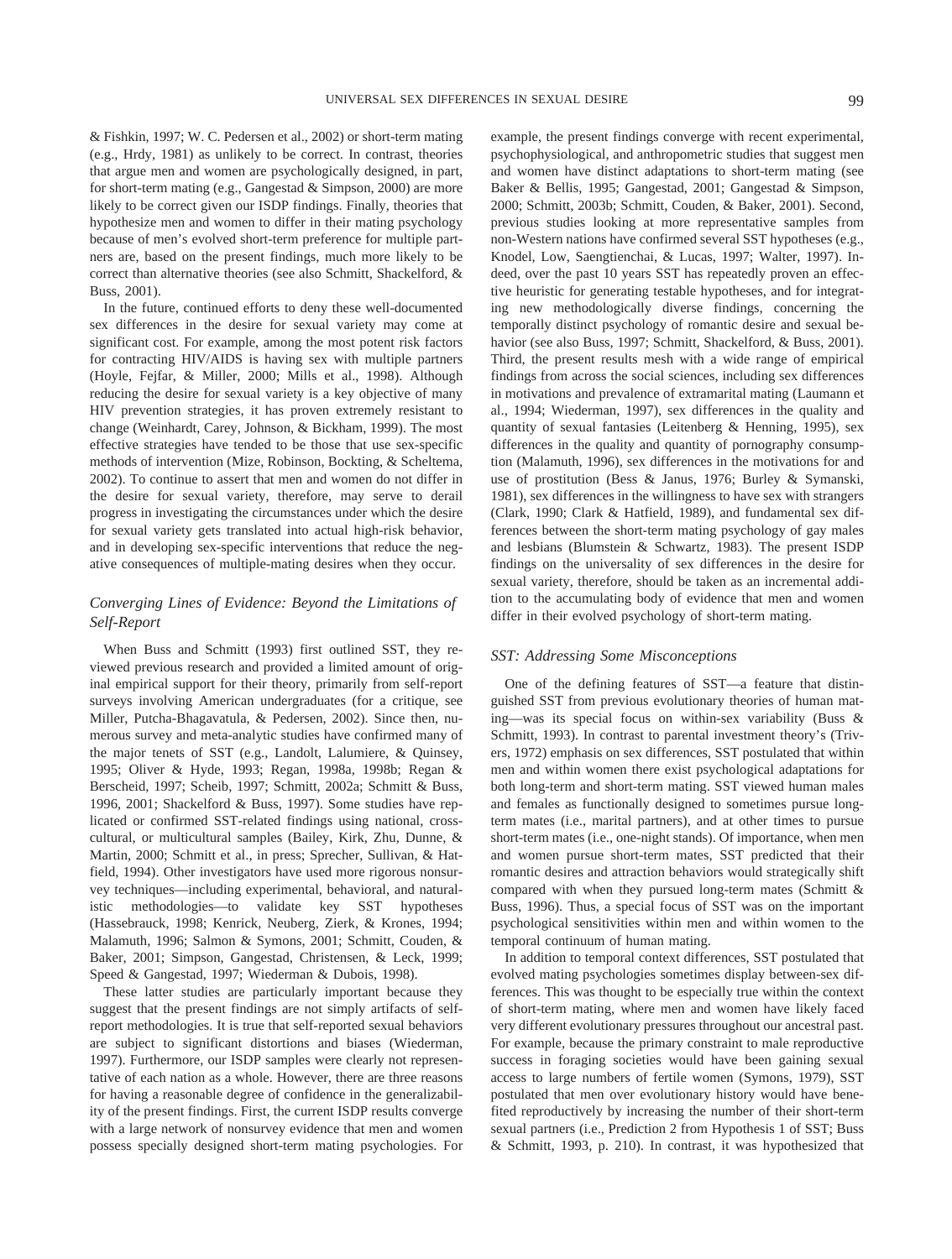& Fishkin, 1997; W. C. Pedersen et al., 2002) or short-term mating (e.g., Hrdy, 1981) as unlikely to be correct. In contrast, theories that argue men and women are psychologically designed, in part, for short-term mating (e.g., Gangestad & Simpson, 2000) are more likely to be correct given our ISDP findings. Finally, theories that hypothesize men and women to differ in their mating psychology because of men's evolved short-term preference for multiple partners are, based on the present findings, much more likely to be correct than alternative theories (see also Schmitt, Shackelford, & Buss, 2001).

In the future, continued efforts to deny these well-documented sex differences in the desire for sexual variety may come at significant cost. For example, among the most potent risk factors for contracting HIV/AIDS is having sex with multiple partners (Hoyle, Fejfar, & Miller, 2000; Mills et al., 1998). Although reducing the desire for sexual variety is a key objective of many HIV prevention strategies, it has proven extremely resistant to change (Weinhardt, Carey, Johnson, & Bickham, 1999). The most effective strategies have tended to be those that use sex-specific methods of intervention (Mize, Robinson, Bockting, & Scheltema, 2002). To continue to assert that men and women do not differ in the desire for sexual variety, therefore, may serve to derail progress in investigating the circumstances under which the desire for sexual variety gets translated into actual high-risk behavior, and in developing sex-specific interventions that reduce the negative consequences of multiple-mating desires when they occur.

# *Converging Lines of Evidence: Beyond the Limitations of Self-Report*

When Buss and Schmitt (1993) first outlined SST, they reviewed previous research and provided a limited amount of original empirical support for their theory, primarily from self-report surveys involving American undergraduates (for a critique, see Miller, Putcha-Bhagavatula, & Pedersen, 2002). Since then, numerous survey and meta-analytic studies have confirmed many of the major tenets of SST (e.g., Landolt, Lalumiere, & Quinsey, 1995; Oliver & Hyde, 1993; Regan, 1998a, 1998b; Regan & Berscheid, 1997; Scheib, 1997; Schmitt, 2002a; Schmitt & Buss, 1996, 2001; Shackelford & Buss, 1997). Some studies have replicated or confirmed SST-related findings using national, crosscultural, or multicultural samples (Bailey, Kirk, Zhu, Dunne, & Martin, 2000; Schmitt et al., in press; Sprecher, Sullivan, & Hatfield, 1994). Other investigators have used more rigorous nonsurvey techniques—including experimental, behavioral, and naturalistic methodologies—to validate key SST hypotheses (Hassebrauck, 1998; Kenrick, Neuberg, Zierk, & Krones, 1994; Malamuth, 1996; Salmon & Symons, 2001; Schmitt, Couden, & Baker, 2001; Simpson, Gangestad, Christensen, & Leck, 1999; Speed & Gangestad, 1997; Wiederman & Dubois, 1998).

These latter studies are particularly important because they suggest that the present findings are not simply artifacts of selfreport methodologies. It is true that self-reported sexual behaviors are subject to significant distortions and biases (Wiederman, 1997). Furthermore, our ISDP samples were clearly not representative of each nation as a whole. However, there are three reasons for having a reasonable degree of confidence in the generalizability of the present findings. First, the current ISDP results converge with a large network of nonsurvey evidence that men and women possess specially designed short-term mating psychologies. For example, the present findings converge with recent experimental, psychophysiological, and anthropometric studies that suggest men and women have distinct adaptations to short-term mating (see Baker & Bellis, 1995; Gangestad, 2001; Gangestad & Simpson, 2000; Schmitt, 2003b; Schmitt, Couden, & Baker, 2001). Second, previous studies looking at more representative samples from non-Western nations have confirmed several SST hypotheses (e.g., Knodel, Low, Saengtienchai, & Lucas, 1997; Walter, 1997). Indeed, over the past 10 years SST has repeatedly proven an effective heuristic for generating testable hypotheses, and for integrating new methodologically diverse findings, concerning the temporally distinct psychology of romantic desire and sexual behavior (see also Buss, 1997; Schmitt, Shackelford, & Buss, 2001). Third, the present results mesh with a wide range of empirical findings from across the social sciences, including sex differences in motivations and prevalence of extramarital mating (Laumann et al., 1994; Wiederman, 1997), sex differences in the quality and quantity of sexual fantasies (Leitenberg & Henning, 1995), sex differences in the quality and quantity of pornography consumption (Malamuth, 1996), sex differences in the motivations for and use of prostitution (Bess & Janus, 1976; Burley & Symanski, 1981), sex differences in the willingness to have sex with strangers (Clark, 1990; Clark & Hatfield, 1989), and fundamental sex differences between the short-term mating psychology of gay males and lesbians (Blumstein & Schwartz, 1983). The present ISDP findings on the universality of sex differences in the desire for sexual variety, therefore, should be taken as an incremental addition to the accumulating body of evidence that men and women differ in their evolved psychology of short-term mating.

## *SST: Addressing Some Misconceptions*

One of the defining features of SST—a feature that distinguished SST from previous evolutionary theories of human mating—was its special focus on within-sex variability (Buss & Schmitt, 1993). In contrast to parental investment theory's (Trivers, 1972) emphasis on sex differences, SST postulated that within men and within women there exist psychological adaptations for both long-term and short-term mating. SST viewed human males and females as functionally designed to sometimes pursue longterm mates (i.e., marital partners), and at other times to pursue short-term mates (i.e., one-night stands). Of importance, when men and women pursue short-term mates, SST predicted that their romantic desires and attraction behaviors would strategically shift compared with when they pursued long-term mates (Schmitt & Buss, 1996). Thus, a special focus of SST was on the important psychological sensitivities within men and within women to the temporal continuum of human mating.

In addition to temporal context differences, SST postulated that evolved mating psychologies sometimes display between-sex differences. This was thought to be especially true within the context of short-term mating, where men and women have likely faced very different evolutionary pressures throughout our ancestral past. For example, because the primary constraint to male reproductive success in foraging societies would have been gaining sexual access to large numbers of fertile women (Symons, 1979), SST postulated that men over evolutionary history would have benefited reproductively by increasing the number of their short-term sexual partners (i.e., Prediction 2 from Hypothesis 1 of SST; Buss & Schmitt, 1993, p. 210). In contrast, it was hypothesized that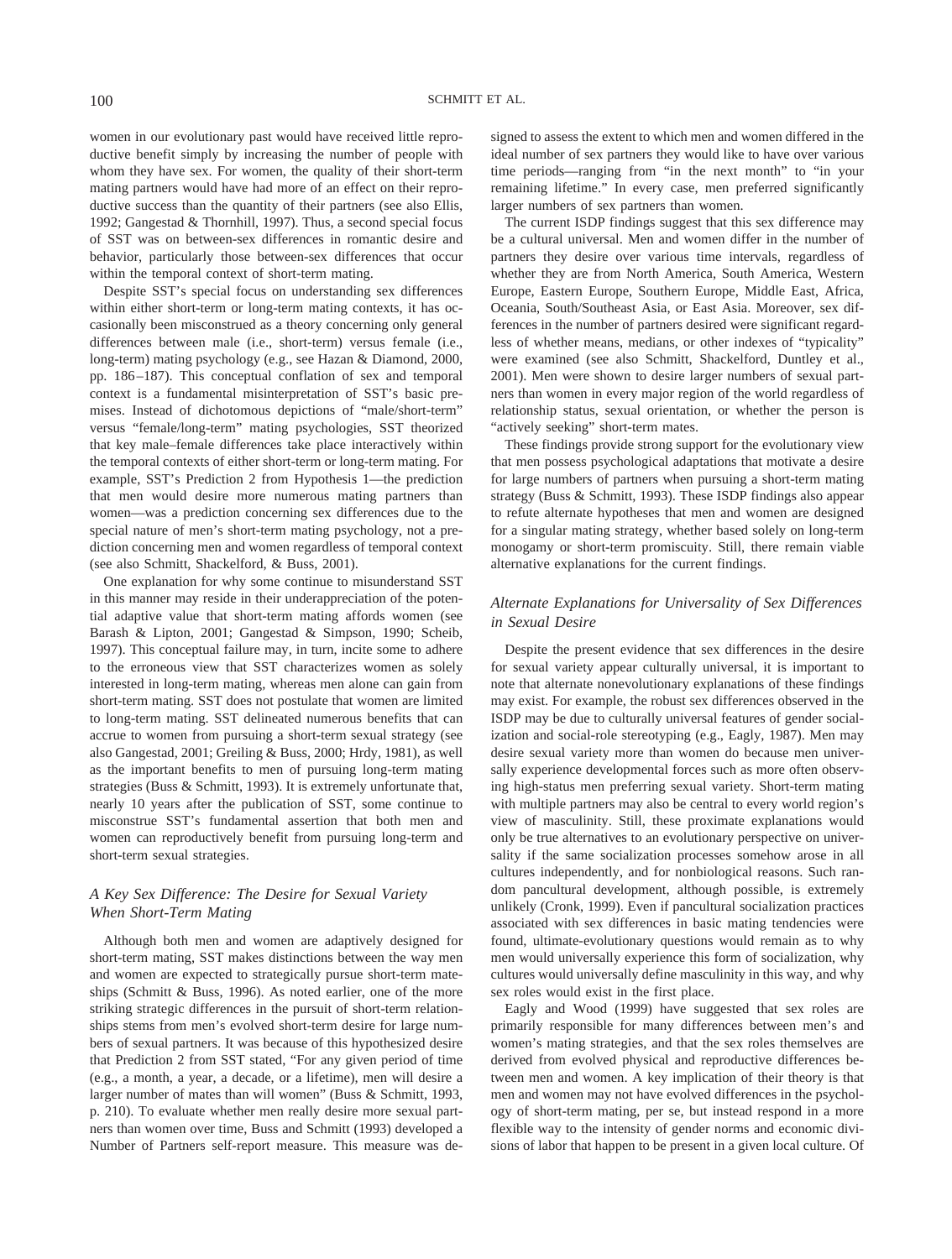women in our evolutionary past would have received little reproductive benefit simply by increasing the number of people with whom they have sex. For women, the quality of their short-term mating partners would have had more of an effect on their reproductive success than the quantity of their partners (see also Ellis, 1992; Gangestad & Thornhill, 1997). Thus, a second special focus of SST was on between-sex differences in romantic desire and behavior, particularly those between-sex differences that occur within the temporal context of short-term mating.

Despite SST's special focus on understanding sex differences within either short-term or long-term mating contexts, it has occasionally been misconstrued as a theory concerning only general differences between male (i.e., short-term) versus female (i.e., long-term) mating psychology (e.g., see Hazan & Diamond, 2000, pp. 186–187). This conceptual conflation of sex and temporal context is a fundamental misinterpretation of SST's basic premises. Instead of dichotomous depictions of "male/short-term" versus "female/long-term" mating psychologies, SST theorized that key male–female differences take place interactively within the temporal contexts of either short-term or long-term mating. For example, SST's Prediction 2 from Hypothesis 1—the prediction that men would desire more numerous mating partners than women—was a prediction concerning sex differences due to the special nature of men's short-term mating psychology, not a prediction concerning men and women regardless of temporal context (see also Schmitt, Shackelford, & Buss, 2001).

One explanation for why some continue to misunderstand SST in this manner may reside in their underappreciation of the potential adaptive value that short-term mating affords women (see Barash & Lipton, 2001; Gangestad & Simpson, 1990; Scheib, 1997). This conceptual failure may, in turn, incite some to adhere to the erroneous view that SST characterizes women as solely interested in long-term mating, whereas men alone can gain from short-term mating. SST does not postulate that women are limited to long-term mating. SST delineated numerous benefits that can accrue to women from pursuing a short-term sexual strategy (see also Gangestad, 2001; Greiling & Buss, 2000; Hrdy, 1981), as well as the important benefits to men of pursuing long-term mating strategies (Buss & Schmitt, 1993). It is extremely unfortunate that, nearly 10 years after the publication of SST, some continue to misconstrue SST's fundamental assertion that both men and women can reproductively benefit from pursuing long-term and short-term sexual strategies.

# *A Key Sex Difference: The Desire for Sexual Variety When Short-Term Mating*

Although both men and women are adaptively designed for short-term mating, SST makes distinctions between the way men and women are expected to strategically pursue short-term mateships (Schmitt & Buss, 1996). As noted earlier, one of the more striking strategic differences in the pursuit of short-term relationships stems from men's evolved short-term desire for large numbers of sexual partners. It was because of this hypothesized desire that Prediction 2 from SST stated, "For any given period of time (e.g., a month, a year, a decade, or a lifetime), men will desire a larger number of mates than will women" (Buss & Schmitt, 1993, p. 210). To evaluate whether men really desire more sexual partners than women over time, Buss and Schmitt (1993) developed a Number of Partners self-report measure. This measure was designed to assess the extent to which men and women differed in the ideal number of sex partners they would like to have over various time periods—ranging from "in the next month" to "in your remaining lifetime." In every case, men preferred significantly larger numbers of sex partners than women.

The current ISDP findings suggest that this sex difference may be a cultural universal. Men and women differ in the number of partners they desire over various time intervals, regardless of whether they are from North America, South America, Western Europe, Eastern Europe, Southern Europe, Middle East, Africa, Oceania, South/Southeast Asia, or East Asia. Moreover, sex differences in the number of partners desired were significant regardless of whether means, medians, or other indexes of "typicality" were examined (see also Schmitt, Shackelford, Duntley et al., 2001). Men were shown to desire larger numbers of sexual partners than women in every major region of the world regardless of relationship status, sexual orientation, or whether the person is "actively seeking" short-term mates.

These findings provide strong support for the evolutionary view that men possess psychological adaptations that motivate a desire for large numbers of partners when pursuing a short-term mating strategy (Buss & Schmitt, 1993). These ISDP findings also appear to refute alternate hypotheses that men and women are designed for a singular mating strategy, whether based solely on long-term monogamy or short-term promiscuity. Still, there remain viable alternative explanations for the current findings.

# *Alternate Explanations for Universality of Sex Differences in Sexual Desire*

Despite the present evidence that sex differences in the desire for sexual variety appear culturally universal, it is important to note that alternate nonevolutionary explanations of these findings may exist. For example, the robust sex differences observed in the ISDP may be due to culturally universal features of gender socialization and social-role stereotyping (e.g., Eagly, 1987). Men may desire sexual variety more than women do because men universally experience developmental forces such as more often observing high-status men preferring sexual variety. Short-term mating with multiple partners may also be central to every world region's view of masculinity. Still, these proximate explanations would only be true alternatives to an evolutionary perspective on universality if the same socialization processes somehow arose in all cultures independently, and for nonbiological reasons. Such random pancultural development, although possible, is extremely unlikely (Cronk, 1999). Even if pancultural socialization practices associated with sex differences in basic mating tendencies were found, ultimate-evolutionary questions would remain as to why men would universally experience this form of socialization, why cultures would universally define masculinity in this way, and why sex roles would exist in the first place.

Eagly and Wood (1999) have suggested that sex roles are primarily responsible for many differences between men's and women's mating strategies, and that the sex roles themselves are derived from evolved physical and reproductive differences between men and women. A key implication of their theory is that men and women may not have evolved differences in the psychology of short-term mating, per se, but instead respond in a more flexible way to the intensity of gender norms and economic divisions of labor that happen to be present in a given local culture. Of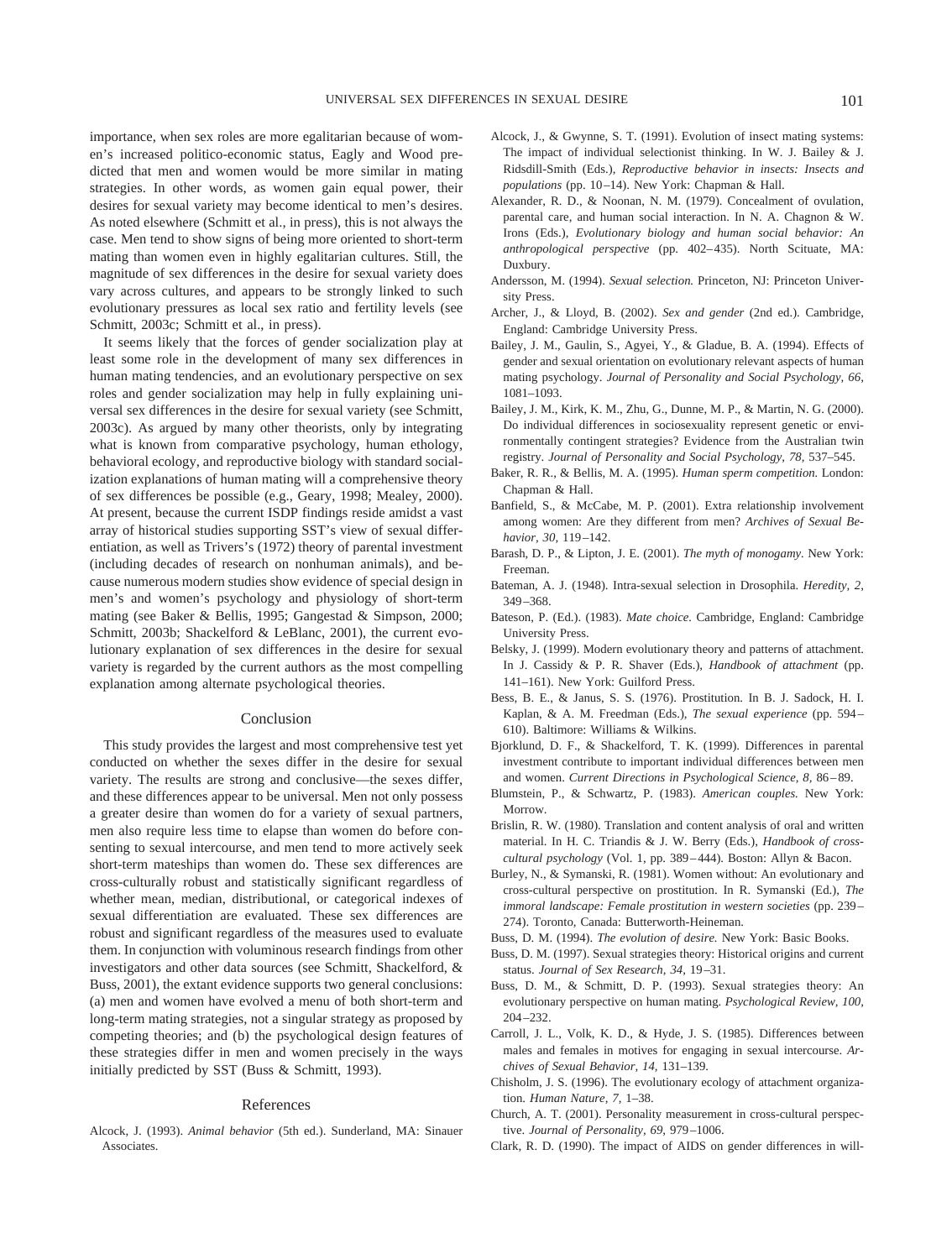importance, when sex roles are more egalitarian because of women's increased politico-economic status, Eagly and Wood predicted that men and women would be more similar in mating strategies. In other words, as women gain equal power, their desires for sexual variety may become identical to men's desires. As noted elsewhere (Schmitt et al., in press), this is not always the case. Men tend to show signs of being more oriented to short-term mating than women even in highly egalitarian cultures. Still, the magnitude of sex differences in the desire for sexual variety does vary across cultures, and appears to be strongly linked to such evolutionary pressures as local sex ratio and fertility levels (see Schmitt, 2003c; Schmitt et al., in press).

It seems likely that the forces of gender socialization play at least some role in the development of many sex differences in human mating tendencies, and an evolutionary perspective on sex roles and gender socialization may help in fully explaining universal sex differences in the desire for sexual variety (see Schmitt, 2003c). As argued by many other theorists, only by integrating what is known from comparative psychology, human ethology, behavioral ecology, and reproductive biology with standard socialization explanations of human mating will a comprehensive theory of sex differences be possible (e.g., Geary, 1998; Mealey, 2000). At present, because the current ISDP findings reside amidst a vast array of historical studies supporting SST's view of sexual differentiation, as well as Trivers's (1972) theory of parental investment (including decades of research on nonhuman animals), and because numerous modern studies show evidence of special design in men's and women's psychology and physiology of short-term mating (see Baker & Bellis, 1995; Gangestad & Simpson, 2000; Schmitt, 2003b; Shackelford & LeBlanc, 2001), the current evolutionary explanation of sex differences in the desire for sexual variety is regarded by the current authors as the most compelling explanation among alternate psychological theories.

#### Conclusion

This study provides the largest and most comprehensive test yet conducted on whether the sexes differ in the desire for sexual variety. The results are strong and conclusive—the sexes differ, and these differences appear to be universal. Men not only possess a greater desire than women do for a variety of sexual partners, men also require less time to elapse than women do before consenting to sexual intercourse, and men tend to more actively seek short-term mateships than women do. These sex differences are cross-culturally robust and statistically significant regardless of whether mean, median, distributional, or categorical indexes of sexual differentiation are evaluated. These sex differences are robust and significant regardless of the measures used to evaluate them. In conjunction with voluminous research findings from other investigators and other data sources (see Schmitt, Shackelford, & Buss, 2001), the extant evidence supports two general conclusions: (a) men and women have evolved a menu of both short-term and long-term mating strategies, not a singular strategy as proposed by competing theories; and (b) the psychological design features of these strategies differ in men and women precisely in the ways initially predicted by SST (Buss & Schmitt, 1993).

#### References

Alcock, J. (1993). *Animal behavior* (5th ed.). Sunderland, MA: Sinauer Associates.

- Alcock, J., & Gwynne, S. T. (1991). Evolution of insect mating systems: The impact of individual selectionist thinking. In W. J. Bailey & J. Ridsdill-Smith (Eds.), *Reproductive behavior in insects: Insects and populations* (pp. 10–14). New York: Chapman & Hall.
- Alexander, R. D., & Noonan, N. M. (1979). Concealment of ovulation, parental care, and human social interaction. In N. A. Chagnon & W. Irons (Eds.), *Evolutionary biology and human social behavior: An anthropological perspective* (pp. 402–435). North Scituate, MA: Duxbury.
- Andersson, M. (1994). *Sexual selection.* Princeton, NJ: Princeton University Press.
- Archer, J., & Lloyd, B. (2002). *Sex and gender* (2nd ed.). Cambridge, England: Cambridge University Press.
- Bailey, J. M., Gaulin, S., Agyei, Y., & Gladue, B. A. (1994). Effects of gender and sexual orientation on evolutionary relevant aspects of human mating psychology. *Journal of Personality and Social Psychology, 66,* 1081–1093.
- Bailey, J. M., Kirk, K. M., Zhu, G., Dunne, M. P., & Martin, N. G. (2000). Do individual differences in sociosexuality represent genetic or environmentally contingent strategies? Evidence from the Australian twin registry. *Journal of Personality and Social Psychology, 78,* 537–545.
- Baker, R. R., & Bellis, M. A. (1995). *Human sperm competition.* London: Chapman & Hall.
- Banfield, S., & McCabe, M. P. (2001). Extra relationship involvement among women: Are they different from men? *Archives of Sexual Behavior, 30,* 119–142.
- Barash, D. P., & Lipton, J. E. (2001). *The myth of monogamy.* New York: Freeman.
- Bateman, A. J. (1948). Intra-sexual selection in Drosophila. *Heredity, 2,* 349–368.
- Bateson, P. (Ed.). (1983). *Mate choice.* Cambridge, England: Cambridge University Press.
- Belsky, J. (1999). Modern evolutionary theory and patterns of attachment. In J. Cassidy & P. R. Shaver (Eds.), *Handbook of attachment* (pp. 141–161). New York: Guilford Press.
- Bess, B. E., & Janus, S. S. (1976). Prostitution. In B. J. Sadock, H. I. Kaplan, & A. M. Freedman (Eds.), *The sexual experience* (pp. 594– 610). Baltimore: Williams & Wilkins.
- Bjorklund, D. F., & Shackelford, T. K. (1999). Differences in parental investment contribute to important individual differences between men and women. *Current Directions in Psychological Science, 8,* 86–89.
- Blumstein, P., & Schwartz, P. (1983). *American couples.* New York: Morrow.
- Brislin, R. W. (1980). Translation and content analysis of oral and written material. In H. C. Triandis & J. W. Berry (Eds.), *Handbook of crosscultural psychology* (Vol. 1, pp. 389–444). Boston: Allyn & Bacon.
- Burley, N., & Symanski, R. (1981). Women without: An evolutionary and cross-cultural perspective on prostitution. In R. Symanski (Ed.), *The immoral landscape: Female prostitution in western societies* (pp. 239– 274). Toronto, Canada: Butterworth-Heineman.
- Buss, D. M. (1994). *The evolution of desire.* New York: Basic Books.
- Buss, D. M. (1997). Sexual strategies theory: Historical origins and current status. *Journal of Sex Research, 34,* 19–31.
- Buss, D. M., & Schmitt, D. P. (1993). Sexual strategies theory: An evolutionary perspective on human mating. *Psychological Review, 100,* 204–232.
- Carroll, J. L., Volk, K. D., & Hyde, J. S. (1985). Differences between males and females in motives for engaging in sexual intercourse. *Archives of Sexual Behavior, 14,* 131–139.
- Chisholm, J. S. (1996). The evolutionary ecology of attachment organization. *Human Nature, 7,* 1–38.
- Church, A. T. (2001). Personality measurement in cross-cultural perspective. *Journal of Personality, 69,* 979–1006.
- Clark, R. D. (1990). The impact of AIDS on gender differences in will-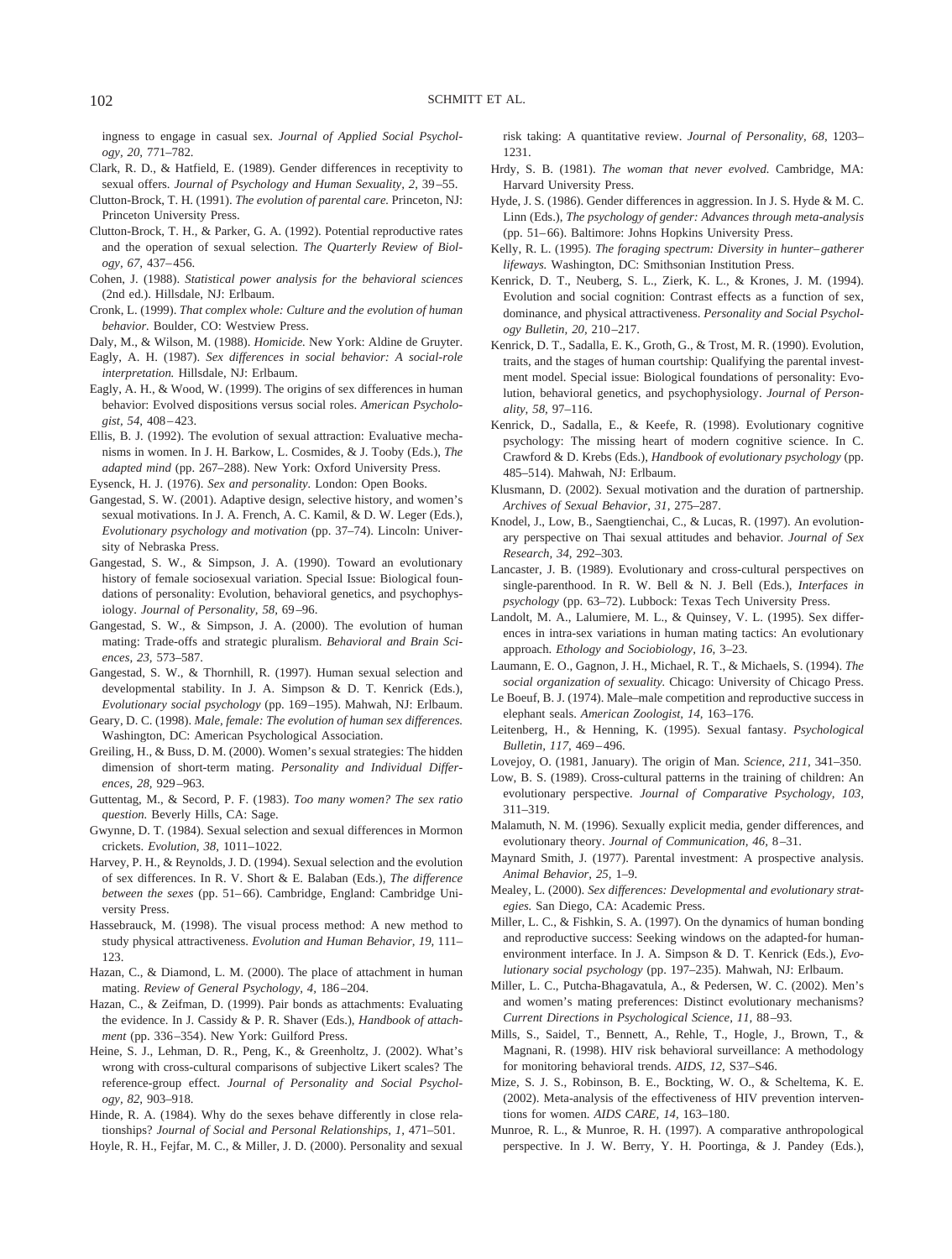ingness to engage in casual sex. *Journal of Applied Social Psychology, 20,* 771–782.

- Clark, R. D., & Hatfield, E. (1989). Gender differences in receptivity to sexual offers. *Journal of Psychology and Human Sexuality, 2,* 39–55.
- Clutton-Brock, T. H. (1991). *The evolution of parental care.* Princeton, NJ: Princeton University Press.
- Clutton-Brock, T. H., & Parker, G. A. (1992). Potential reproductive rates and the operation of sexual selection. *The Quarterly Review of Biology, 67,* 437–456.
- Cohen, J. (1988). *Statistical power analysis for the behavioral sciences* (2nd ed.). Hillsdale, NJ: Erlbaum.
- Cronk, L. (1999). *That complex whole: Culture and the evolution of human behavior.* Boulder, CO: Westview Press.
- Daly, M., & Wilson, M. (1988). *Homicide.* New York: Aldine de Gruyter.
- Eagly, A. H. (1987). *Sex differences in social behavior: A social-role interpretation.* Hillsdale, NJ: Erlbaum.
- Eagly, A. H., & Wood, W. (1999). The origins of sex differences in human behavior: Evolved dispositions versus social roles. *American Psychologist, 54,* 408–423.
- Ellis, B. J. (1992). The evolution of sexual attraction: Evaluative mechanisms in women. In J. H. Barkow, L. Cosmides, & J. Tooby (Eds.), *The adapted mind* (pp. 267–288). New York: Oxford University Press.
- Eysenck, H. J. (1976). *Sex and personality.* London: Open Books.
- Gangestad, S. W. (2001). Adaptive design, selective history, and women's sexual motivations. In J. A. French, A. C. Kamil, & D. W. Leger (Eds.), *Evolutionary psychology and motivation* (pp. 37–74). Lincoln: University of Nebraska Press.
- Gangestad, S. W., & Simpson, J. A. (1990). Toward an evolutionary history of female sociosexual variation. Special Issue: Biological foundations of personality: Evolution, behavioral genetics, and psychophysiology. *Journal of Personality, 58,* 69–96.
- Gangestad, S. W., & Simpson, J. A. (2000). The evolution of human mating: Trade-offs and strategic pluralism. *Behavioral and Brain Sciences, 23,* 573–587.
- Gangestad, S. W., & Thornhill, R. (1997). Human sexual selection and developmental stability. In J. A. Simpson & D. T. Kenrick (Eds.), *Evolutionary social psychology* (pp. 169–195). Mahwah, NJ: Erlbaum.
- Geary, D. C. (1998). *Male, female: The evolution of human sex differences.* Washington, DC: American Psychological Association.
- Greiling, H., & Buss, D. M. (2000). Women's sexual strategies: The hidden dimension of short-term mating. *Personality and Individual Differences, 28,* 929–963.
- Guttentag, M., & Secord, P. F. (1983). *Too many women? The sex ratio question.* Beverly Hills, CA: Sage.
- Gwynne, D. T. (1984). Sexual selection and sexual differences in Mormon crickets. *Evolution, 38,* 1011–1022.
- Harvey, P. H., & Reynolds, J. D. (1994). Sexual selection and the evolution of sex differences. In R. V. Short & E. Balaban (Eds.), *The difference between the sexes* (pp. 51–66). Cambridge, England: Cambridge University Press.
- Hassebrauck, M. (1998). The visual process method: A new method to study physical attractiveness. *Evolution and Human Behavior, 19,* 111– 123.
- Hazan, C., & Diamond, L. M. (2000). The place of attachment in human mating. *Review of General Psychology, 4,* 186–204.
- Hazan, C., & Zeifman, D. (1999). Pair bonds as attachments: Evaluating the evidence. In J. Cassidy & P. R. Shaver (Eds.), *Handbook of attachment* (pp. 336–354). New York: Guilford Press.
- Heine, S. J., Lehman, D. R., Peng, K., & Greenholtz, J. (2002). What's wrong with cross-cultural comparisons of subjective Likert scales? The reference-group effect. *Journal of Personality and Social Psychology, 82,* 903–918.
- Hinde, R. A. (1984). Why do the sexes behave differently in close relationships? *Journal of Social and Personal Relationships, 1,* 471–501.
- Hoyle, R. H., Fejfar, M. C., & Miller, J. D. (2000). Personality and sexual

risk taking: A quantitative review. *Journal of Personality, 68,* 1203– 1231.

- Hrdy, S. B. (1981). *The woman that never evolved.* Cambridge, MA: Harvard University Press.
- Hyde, J. S. (1986). Gender differences in aggression. In J. S. Hyde & M. C. Linn (Eds.), *The psychology of gender: Advances through meta-analysis* (pp. 51–66). Baltimore: Johns Hopkins University Press.
- Kelly, R. L. (1995). *The foraging spectrum: Diversity in hunter–gatherer lifeways.* Washington, DC: Smithsonian Institution Press.
- Kenrick, D. T., Neuberg, S. L., Zierk, K. L., & Krones, J. M. (1994). Evolution and social cognition: Contrast effects as a function of sex, dominance, and physical attractiveness. *Personality and Social Psychology Bulletin, 20,* 210–217.
- Kenrick, D. T., Sadalla, E. K., Groth, G., & Trost, M. R. (1990). Evolution, traits, and the stages of human courtship: Qualifying the parental investment model. Special issue: Biological foundations of personality: Evolution, behavioral genetics, and psychophysiology. *Journal of Personality, 58,* 97–116.
- Kenrick, D., Sadalla, E., & Keefe, R. (1998). Evolutionary cognitive psychology: The missing heart of modern cognitive science. In C. Crawford & D. Krebs (Eds.), *Handbook of evolutionary psychology* (pp. 485–514). Mahwah, NJ: Erlbaum.
- Klusmann, D. (2002). Sexual motivation and the duration of partnership. *Archives of Sexual Behavior, 31,* 275–287.
- Knodel, J., Low, B., Saengtienchai, C., & Lucas, R. (1997). An evolutionary perspective on Thai sexual attitudes and behavior. *Journal of Sex Research, 34,* 292–303.
- Lancaster, J. B. (1989). Evolutionary and cross-cultural perspectives on single-parenthood. In R. W. Bell & N. J. Bell (Eds.), *Interfaces in psychology* (pp. 63–72). Lubbock: Texas Tech University Press.
- Landolt, M. A., Lalumiere, M. L., & Quinsey, V. L. (1995). Sex differences in intra-sex variations in human mating tactics: An evolutionary approach. *Ethology and Sociobiology, 16,* 3–23.
- Laumann, E. O., Gagnon, J. H., Michael, R. T., & Michaels, S. (1994). *The social organization of sexuality.* Chicago: University of Chicago Press.
- Le Boeuf, B. J. (1974). Male–male competition and reproductive success in elephant seals. *American Zoologist, 14,* 163–176.
- Leitenberg, H., & Henning, K. (1995). Sexual fantasy. *Psychological Bulletin, 117,* 469–496.
- Lovejoy, O. (1981, January). The origin of Man. *Science, 211,* 341–350.
- Low, B. S. (1989). Cross-cultural patterns in the training of children: An evolutionary perspective. *Journal of Comparative Psychology, 103,* 311–319.
- Malamuth, N. M. (1996). Sexually explicit media, gender differences, and evolutionary theory. *Journal of Communication, 46,* 8–31.
- Maynard Smith, J. (1977). Parental investment: A prospective analysis. *Animal Behavior, 25,* 1–9.
- Mealey, L. (2000). *Sex differences: Developmental and evolutionary strategies.* San Diego, CA: Academic Press.
- Miller, L. C., & Fishkin, S. A. (1997). On the dynamics of human bonding and reproductive success: Seeking windows on the adapted-for humanenvironment interface. In J. A. Simpson & D. T. Kenrick (Eds.), *Evolutionary social psychology* (pp. 197–235). Mahwah, NJ: Erlbaum.
- Miller, L. C., Putcha-Bhagavatula, A., & Pedersen, W. C. (2002). Men's and women's mating preferences: Distinct evolutionary mechanisms? *Current Directions in Psychological Science, 11,* 88–93.
- Mills, S., Saidel, T., Bennett, A., Rehle, T., Hogle, J., Brown, T., & Magnani, R. (1998). HIV risk behavioral surveillance: A methodology for monitoring behavioral trends. *AIDS, 12,* S37–S46.
- Mize, S. J. S., Robinson, B. E., Bockting, W. O., & Scheltema, K. E. (2002). Meta-analysis of the effectiveness of HIV prevention interventions for women. *AIDS CARE, 14,* 163–180.
- Munroe, R. L., & Munroe, R. H. (1997). A comparative anthropological perspective. In J. W. Berry, Y. H. Poortinga, & J. Pandey (Eds.),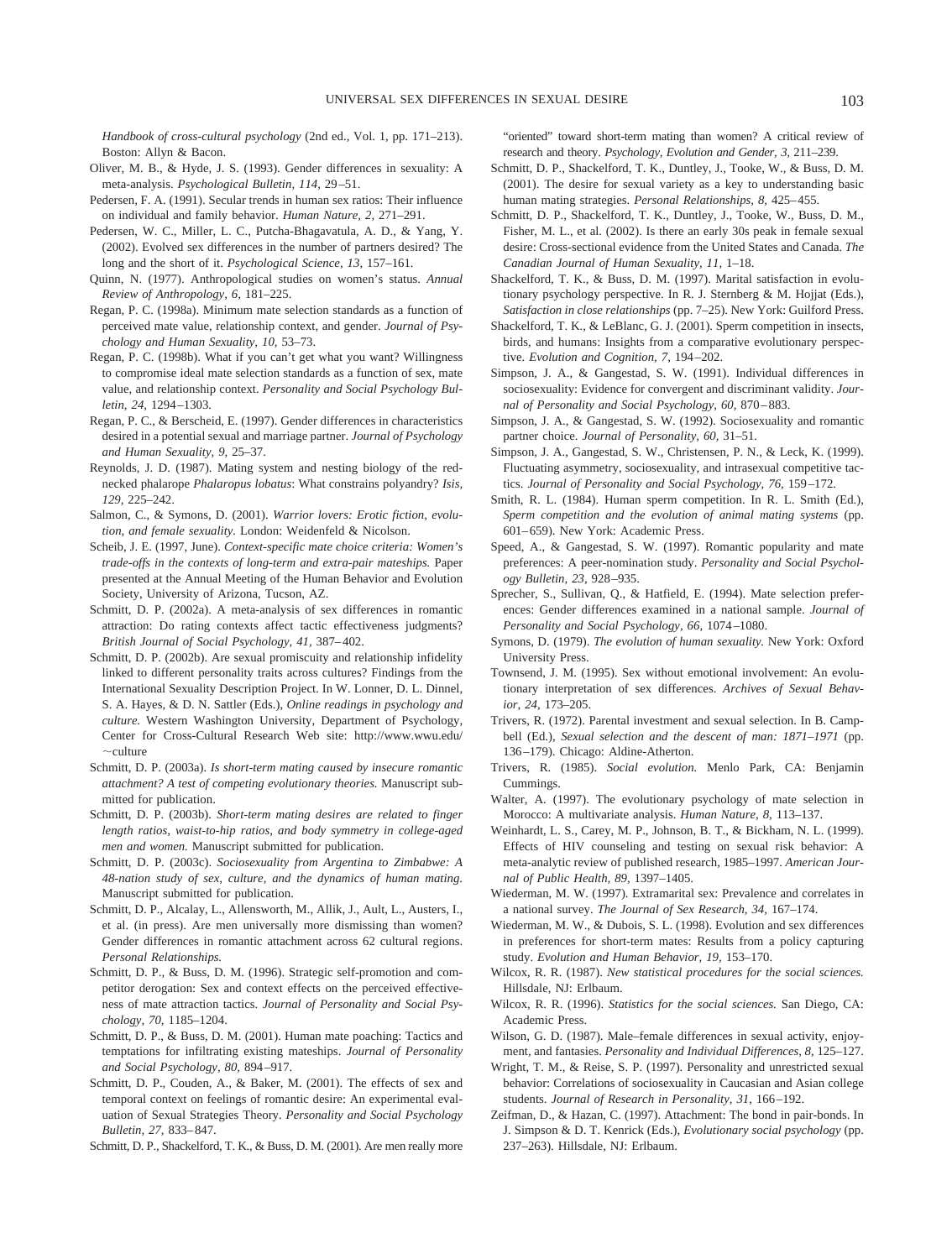*Handbook of cross-cultural psychology* (2nd ed., Vol. 1, pp. 171–213). Boston: Allyn & Bacon.

- Oliver, M. B., & Hyde, J. S. (1993). Gender differences in sexuality: A meta-analysis. *Psychological Bulletin, 114,* 29–51.
- Pedersen, F. A. (1991). Secular trends in human sex ratios: Their influence on individual and family behavior. *Human Nature, 2,* 271–291.
- Pedersen, W. C., Miller, L. C., Putcha-Bhagavatula, A. D., & Yang, Y. (2002). Evolved sex differences in the number of partners desired? The long and the short of it. *Psychological Science, 13,* 157–161.
- Quinn, N. (1977). Anthropological studies on women's status. *Annual Review of Anthropology, 6,* 181–225.
- Regan, P. C. (1998a). Minimum mate selection standards as a function of perceived mate value, relationship context, and gender. *Journal of Psychology and Human Sexuality, 10,* 53–73.
- Regan, P. C. (1998b). What if you can't get what you want? Willingness to compromise ideal mate selection standards as a function of sex, mate value, and relationship context. *Personality and Social Psychology Bulletin, 24,* 1294–1303.
- Regan, P. C., & Berscheid, E. (1997). Gender differences in characteristics desired in a potential sexual and marriage partner. *Journal of Psychology and Human Sexuality, 9,* 25–37.
- Reynolds, J. D. (1987). Mating system and nesting biology of the rednecked phalarope *Phalaropus lobatus*: What constrains polyandry? *Isis, 129,* 225–242.
- Salmon, C., & Symons, D. (2001). *Warrior lovers: Erotic fiction, evolution, and female sexuality.* London: Weidenfeld & Nicolson.
- Scheib, J. E. (1997, June). *Context-specific mate choice criteria: Women's trade-offs in the contexts of long-term and extra-pair mateships.* Paper presented at the Annual Meeting of the Human Behavior and Evolution Society, University of Arizona, Tucson, AZ.
- Schmitt, D. P. (2002a). A meta-analysis of sex differences in romantic attraction: Do rating contexts affect tactic effectiveness judgments? *British Journal of Social Psychology, 41,* 387–402.
- Schmitt, D. P. (2002b). Are sexual promiscuity and relationship infidelity linked to different personality traits across cultures? Findings from the International Sexuality Description Project. In W. Lonner, D. L. Dinnel, S. A. Hayes, & D. N. Sattler (Eds.), *Online readings in psychology and culture.* Western Washington University, Department of Psychology, Center for Cross-Cultural Research Web site: http://www.wwu.edu/ culture
- Schmitt, D. P. (2003a). *Is short-term mating caused by insecure romantic attachment? A test of competing evolutionary theories.* Manuscript submitted for publication.
- Schmitt, D. P. (2003b). *Short-term mating desires are related to finger length ratios, waist-to-hip ratios, and body symmetry in college-aged men and women.* Manuscript submitted for publication.
- Schmitt, D. P. (2003c). *Sociosexuality from Argentina to Zimbabwe: A 48-nation study of sex, culture, and the dynamics of human mating.* Manuscript submitted for publication.
- Schmitt, D. P., Alcalay, L., Allensworth, M., Allik, J., Ault, L., Austers, I., et al. (in press). Are men universally more dismissing than women? Gender differences in romantic attachment across 62 cultural regions. *Personal Relationships.*
- Schmitt, D. P., & Buss, D. M. (1996). Strategic self-promotion and competitor derogation: Sex and context effects on the perceived effectiveness of mate attraction tactics. *Journal of Personality and Social Psychology, 70,* 1185–1204.
- Schmitt, D. P., & Buss, D. M. (2001). Human mate poaching: Tactics and temptations for infiltrating existing mateships. *Journal of Personality and Social Psychology, 80,* 894–917.
- Schmitt, D. P., Couden, A., & Baker, M. (2001). The effects of sex and temporal context on feelings of romantic desire: An experimental evaluation of Sexual Strategies Theory. *Personality and Social Psychology Bulletin, 27,* 833–847.

Schmitt, D. P., Shackelford, T. K., & Buss, D. M. (2001). Are men really more

"oriented" toward short-term mating than women? A critical review of research and theory. *Psychology, Evolution and Gender, 3,* 211–239.

- Schmitt, D. P., Shackelford, T. K., Duntley, J., Tooke, W., & Buss, D. M. (2001). The desire for sexual variety as a key to understanding basic human mating strategies. *Personal Relationships, 8,* 425–455.
- Schmitt, D. P., Shackelford, T. K., Duntley, J., Tooke, W., Buss, D. M., Fisher, M. L., et al. (2002). Is there an early 30s peak in female sexual desire: Cross-sectional evidence from the United States and Canada. *The Canadian Journal of Human Sexuality, 11,* 1–18.
- Shackelford, T. K., & Buss, D. M. (1997). Marital satisfaction in evolutionary psychology perspective. In R. J. Sternberg & M. Hojjat (Eds.), *Satisfaction in close relationships* (pp. 7–25). New York: Guilford Press.
- Shackelford, T. K., & LeBlanc, G. J. (2001). Sperm competition in insects, birds, and humans: Insights from a comparative evolutionary perspective. *Evolution and Cognition, 7,* 194–202.
- Simpson, J. A., & Gangestad, S. W. (1991). Individual differences in sociosexuality: Evidence for convergent and discriminant validity. *Journal of Personality and Social Psychology, 60,* 870–883.
- Simpson, J. A., & Gangestad, S. W. (1992). Sociosexuality and romantic partner choice. *Journal of Personality, 60,* 31–51.
- Simpson, J. A., Gangestad, S. W., Christensen, P. N., & Leck, K. (1999). Fluctuating asymmetry, sociosexuality, and intrasexual competitive tactics. *Journal of Personality and Social Psychology, 76,* 159–172.
- Smith, R. L. (1984). Human sperm competition. In R. L. Smith (Ed.), *Sperm competition and the evolution of animal mating systems* (pp. 601–659). New York: Academic Press.
- Speed, A., & Gangestad, S. W. (1997). Romantic popularity and mate preferences: A peer-nomination study. *Personality and Social Psychology Bulletin, 23,* 928–935.
- Sprecher, S., Sullivan, Q., & Hatfield, E. (1994). Mate selection preferences: Gender differences examined in a national sample. *Journal of Personality and Social Psychology, 66,* 1074–1080.
- Symons, D. (1979). *The evolution of human sexuality.* New York: Oxford University Press.
- Townsend, J. M. (1995). Sex without emotional involvement: An evolutionary interpretation of sex differences. *Archives of Sexual Behavior, 24,* 173–205.
- Trivers, R. (1972). Parental investment and sexual selection. In B. Campbell (Ed.), *Sexual selection and the descent of man: 1871–1971* (pp. 136–179). Chicago: Aldine-Atherton.
- Trivers, R. (1985). *Social evolution.* Menlo Park, CA: Benjamin Cummings.
- Walter, A. (1997). The evolutionary psychology of mate selection in Morocco: A multivariate analysis. *Human Nature, 8,* 113–137.
- Weinhardt, L. S., Carey, M. P., Johnson, B. T., & Bickham, N. L. (1999). Effects of HIV counseling and testing on sexual risk behavior: A meta-analytic review of published research, 1985–1997. *American Journal of Public Health, 89,* 1397–1405.
- Wiederman, M. W. (1997). Extramarital sex: Prevalence and correlates in a national survey. *The Journal of Sex Research, 34,* 167–174.
- Wiederman, M. W., & Dubois, S. L. (1998). Evolution and sex differences in preferences for short-term mates: Results from a policy capturing study. *Evolution and Human Behavior, 19,* 153–170.
- Wilcox, R. R. (1987). *New statistical procedures for the social sciences.* Hillsdale, NJ: Erlbaum.
- Wilcox, R. R. (1996). *Statistics for the social sciences.* San Diego, CA: Academic Press.
- Wilson, G. D. (1987). Male–female differences in sexual activity, enjoyment, and fantasies. *Personality and Individual Differences, 8,* 125–127.
- Wright, T. M., & Reise, S. P. (1997). Personality and unrestricted sexual behavior: Correlations of sociosexuality in Caucasian and Asian college students. *Journal of Research in Personality, 31,* 166–192.
- Zeifman, D., & Hazan, C. (1997). Attachment: The bond in pair-bonds. In J. Simpson & D. T. Kenrick (Eds.), *Evolutionary social psychology* (pp. 237–263). Hillsdale, NJ: Erlbaum.